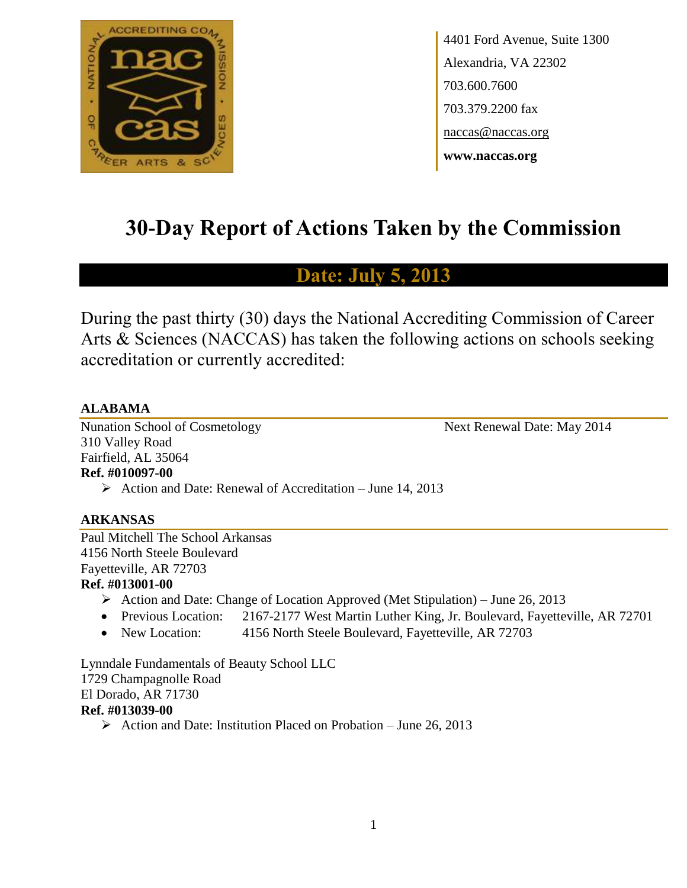

4401 Ford Avenue, Suite 1300 Alexandria, VA 22302 703.600.7600 703.379.2200 fax naccas@naccas.org **www.naccas.org**

# **30-Day Report of Actions Taken by the Commission**

# **Date: July 5, 2013**

During the past thirty (30) days the National Accrediting Commission of Career Arts & Sciences (NACCAS) has taken the following actions on schools seeking accreditation or currently accredited:

# **ALABAMA**

Nunation School of Cosmetology Next Renewal Date: May 2014 310 Valley Road Fairfield, AL 35064 **Ref. #010097-00**

 $\triangleright$  Action and Date: Renewal of Accreditation – June 14, 2013

# **ARKANSAS**

Paul Mitchell The School Arkansas 4156 North Steele Boulevard Fayetteville, AR 72703 **Ref. #013001-00**

- $\triangleright$  Action and Date: Change of Location Approved (Met Stipulation) June 26, 2013
- Previous Location: 2167-2177 West Martin Luther King, Jr. Boulevard, Fayetteville, AR 72701
- New Location: 4156 North Steele Boulevard, Fayetteville, AR 72703

Lynndale Fundamentals of Beauty School LLC 1729 Champagnolle Road El Dorado, AR 71730 **Ref. #013039-00**

Action and Date: Institution Placed on Probation – June 26, 2013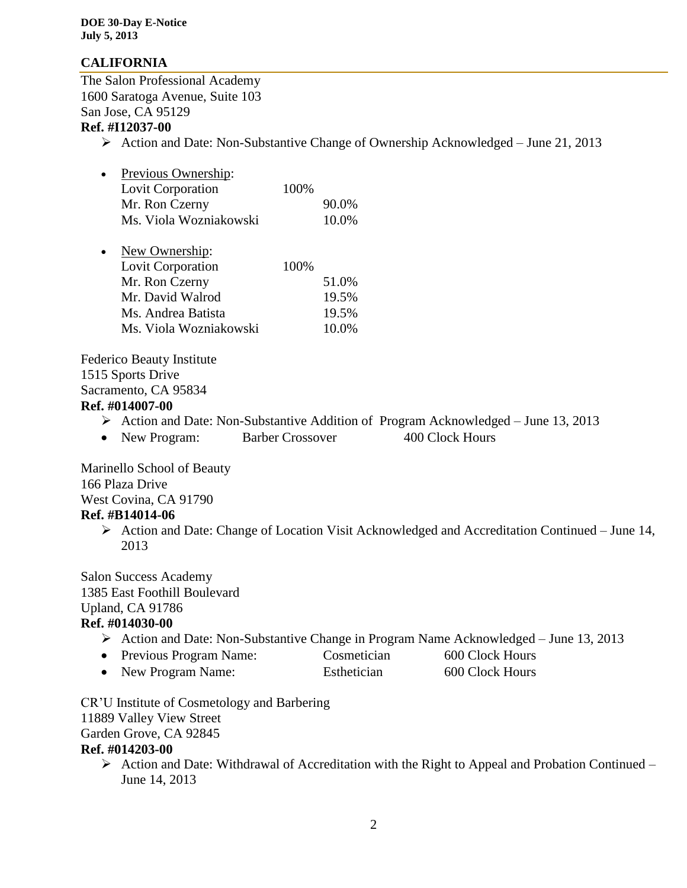# **CALIFORNIA**

The Salon Professional Academy 1600 Saratoga Avenue, Suite 103 San Jose, CA 95129

# **Ref. #I12037-00**

 $\triangleright$  Action and Date: Non-Substantive Change of Ownership Acknowledged – June 21, 2013

| $\bullet$ | Previous Ownership:    |      |       |
|-----------|------------------------|------|-------|
|           | Lovit Corporation      | 100% |       |
|           | Mr. Ron Czerny         |      | 90.0% |
|           | Ms. Viola Wozniakowski |      | 10.0% |

| $\bullet$ | New Ownership:         |      |       |
|-----------|------------------------|------|-------|
|           | Lovit Corporation      | 100% |       |
|           | Mr. Ron Czerny         |      | 51.0% |
|           | Mr. David Walrod       |      | 19.5% |
|           | Ms. Andrea Batista     |      | 19.5% |
|           | Ms. Viola Wozniakowski |      | 10.0% |
|           |                        |      |       |

Federico Beauty Institute 1515 Sports Drive Sacramento, CA 95834

# **Ref. #014007-00**

- $\triangleright$  Action and Date: Non-Substantive Addition of Program Acknowledged June 13, 2013
- New Program: Barber Crossover 400 Clock Hours

Marinello School of Beauty 166 Plaza Drive West Covina, CA 91790 **Ref. #B14014-06**

> Action and Date: Change of Location Visit Acknowledged and Accreditation Continued – June 14, 2013

Salon Success Academy 1385 East Foothill Boulevard Upland, CA 91786 **Ref. #014030-00**

- $\triangleright$  Action and Date: Non-Substantive Change in Program Name Acknowledged June 13, 2013
- Previous Program Name: Cosmetician 600 Clock Hours
- New Program Name: Esthetician 600 Clock Hours

CR'U Institute of Cosmetology and Barbering 11889 Valley View Street Garden Grove, CA 92845 **Ref. #014203-00**

 $\triangleright$  Action and Date: Withdrawal of Accreditation with the Right to Appeal and Probation Continued – June 14, 2013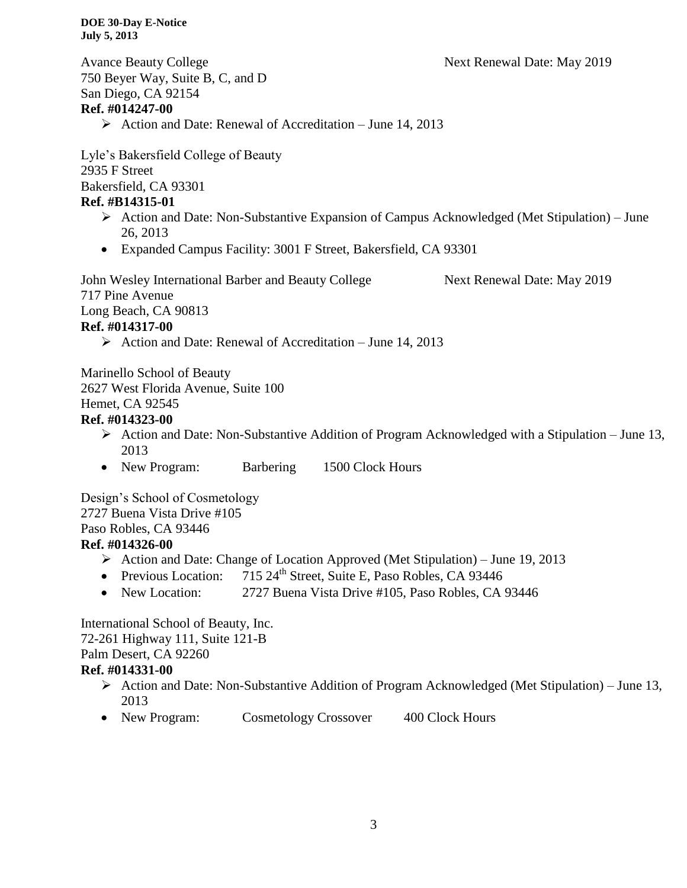Avance Beauty College **Next Renewal Date: May 2019** 750 Beyer Way, Suite B, C, and D San Diego, CA 92154 **Ref. #014247-00**  $\triangleright$  Action and Date: Renewal of Accreditation – June 14, 2013

Lyle's Bakersfield College of Beauty 2935 F Street Bakersfield, CA 93301 **Ref. #B14315-01**

- $\triangleright$  Action and Date: Non-Substantive Expansion of Campus Acknowledged (Met Stipulation) June 26, 2013
- Expanded Campus Facility: 3001 F Street, Bakersfield, CA 93301

John Wesley International Barber and Beauty College Next Renewal Date: May 2019 717 Pine Avenue Long Beach, CA 90813 **Ref. #014317-00**  $\triangleright$  Action and Date: Renewal of Accreditation – June 14, 2013

Marinello School of Beauty 2627 West Florida Avenue, Suite 100 Hemet, CA 92545 **Ref. #014323-00**

- Action and Date: Non-Substantive Addition of Program Acknowledged with a Stipulation June 13, 2013
- New Program: Barbering 1500 Clock Hours

Design's School of Cosmetology 2727 Buena Vista Drive #105 Paso Robles, CA 93446

# **Ref. #014326-00**

- Action and Date: Change of Location Approved (Met Stipulation) June 19, 2013
- Previous Location:  $715 \, 24^{\text{th}}$  Street, Suite E, Paso Robles, CA 93446
- New Location: 2727 Buena Vista Drive #105, Paso Robles, CA 93446

International School of Beauty, Inc. 72-261 Highway 111, Suite 121-B Palm Desert, CA 92260 **Ref. #014331-00**

- Action and Date: Non-Substantive Addition of Program Acknowledged (Met Stipulation) June 13, 2013
- New Program: Cosmetology Crossover 400 Clock Hours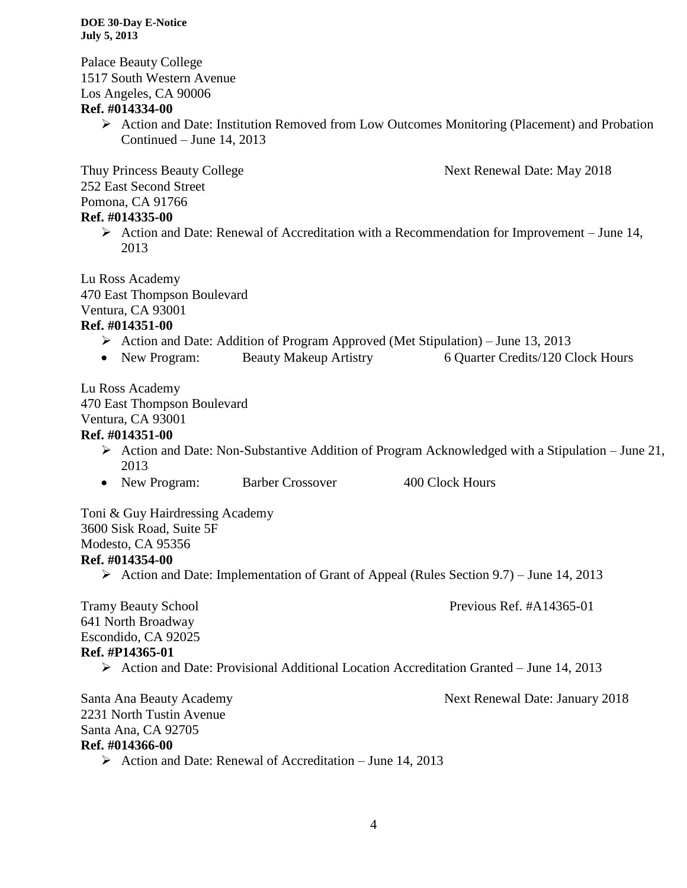Palace Beauty College 1517 South Western Avenue Los Angeles, CA 90006

# **Ref. #014334-00**

 Action and Date: Institution Removed from Low Outcomes Monitoring (Placement) and Probation Continued – June 14, 2013

Thuy Princess Beauty College Next Renewal Date: May 2018 252 East Second Street Pomona, CA 91766

# **Ref. #014335-00**

 $\triangleright$  Action and Date: Renewal of Accreditation with a Recommendation for Improvement – June 14, 2013

Lu Ross Academy 470 East Thompson Boulevard Ventura, CA 93001 **Ref. #014351-00**

# Action and Date: Addition of Program Approved (Met Stipulation) – June 13, 2013

• New Program: Beauty Makeup Artistry 6 Quarter Credits/120 Clock Hours

Lu Ross Academy 470 East Thompson Boulevard Ventura, CA 93001

# **Ref. #014351-00**

- $\triangleright$  Action and Date: Non-Substantive Addition of Program Acknowledged with a Stipulation June 21, 2013
- New Program: Barber Crossover 400 Clock Hours

Toni & Guy Hairdressing Academy 3600 Sisk Road, Suite 5F Modesto, CA 95356 **Ref. #014354-00**

Action and Date: Implementation of Grant of Appeal (Rules Section 9.7) – June 14, 2013

Tramy Beauty School Previous Ref. #A14365-01

641 North Broadway Escondido, CA 92025 **Ref. #P14365-01**

 $\triangleright$  Action and Date: Provisional Additional Location Accreditation Granted – June 14, 2013

Santa Ana Beauty Academy **Next Renewal Date: January 2018** 2231 North Tustin Avenue Santa Ana, CA 92705 **Ref. #014366-00**

 $\triangleright$  Action and Date: Renewal of Accreditation – June 14, 2013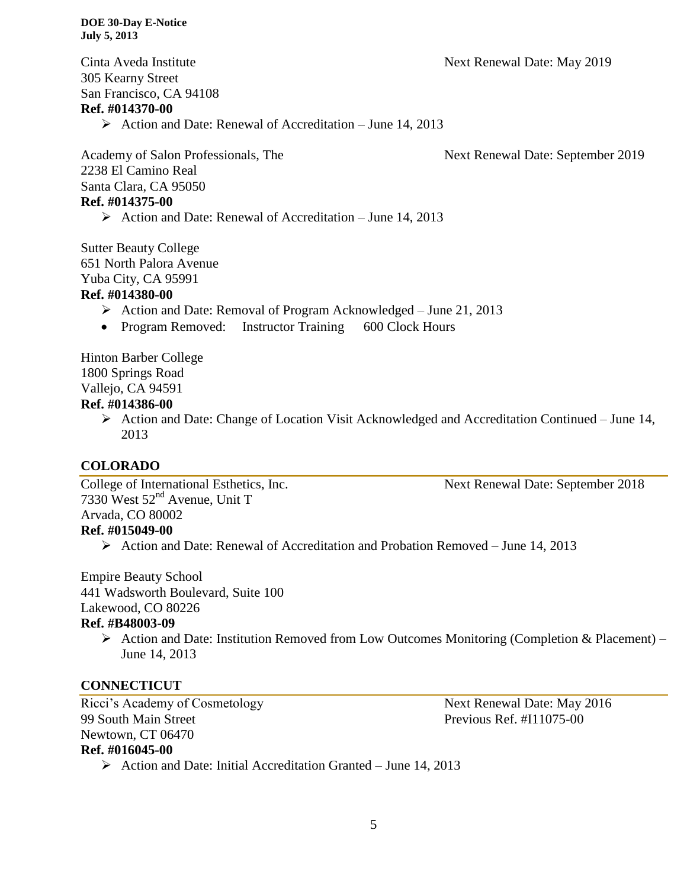Cinta Aveda Institute Next Renewal Date: May 2019 305 Kearny Street San Francisco, CA 94108 **Ref. #014370-00**

 $\triangleright$  Action and Date: Renewal of Accreditation – June 14, 2013

Academy of Salon Professionals, The Next Renewal Date: September 2019 2238 El Camino Real Santa Clara, CA 95050 **Ref. #014375-00**

 $\triangleright$  Action and Date: Renewal of Accreditation – June 14, 2013

Sutter Beauty College 651 North Palora Avenue Yuba City, CA 95991

# **Ref. #014380-00**

- $\triangleright$  Action and Date: Removal of Program Acknowledged June 21, 2013
- Program Removed: Instructor Training 600 Clock Hours

Hinton Barber College 1800 Springs Road Vallejo, CA 94591

# **Ref. #014386-00**

 Action and Date: Change of Location Visit Acknowledged and Accreditation Continued – June 14, 2013

# **COLORADO**

College of International Esthetics, Inc. Next Renewal Date: September 2018 7330 West  $52<sup>nd</sup>$  Avenue, Unit T Arvada, CO 80002 **Ref. #015049-00**

Action and Date: Renewal of Accreditation and Probation Removed – June 14, 2013

Empire Beauty School 441 Wadsworth Boulevard, Suite 100 Lakewood, CO 80226 **Ref. #B48003-09**

> $\triangleright$  Action and Date: Institution Removed from Low Outcomes Monitoring (Completion & Placement) – June 14, 2013

# **CONNECTICUT**

Ricci's Academy of Cosmetology Next Renewal Date: May 2016 99 South Main Street Previous Ref. #I11075-00 Newtown, CT 06470 **Ref. #016045-00**

 $\triangleright$  Action and Date: Initial Accreditation Granted – June 14, 2013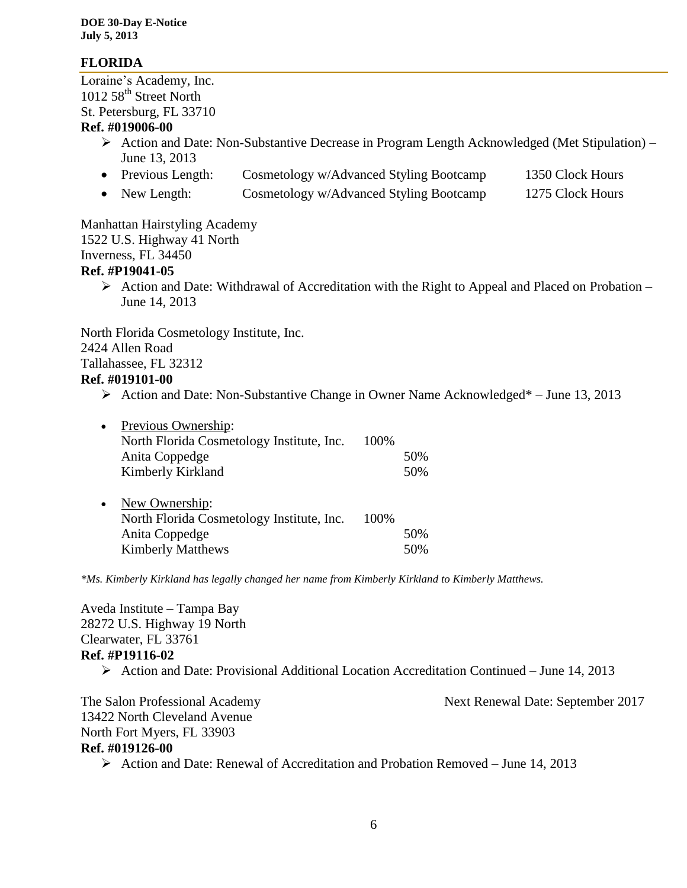# **FLORIDA**

Loraine's Academy, Inc. 1012 58<sup>th</sup> Street North St. Petersburg, FL 33710

# **Ref. #019006-00**

- Action and Date: Non-Substantive Decrease in Program Length Acknowledged (Met Stipulation) June 13, 2013
- Previous Length: Cosmetology w/Advanced Styling Bootcamp 1350 Clock Hours
- New Length: Cosmetology w/Advanced Styling Bootcamp 1275 Clock Hours

Manhattan Hairstyling Academy 1522 U.S. Highway 41 North Inverness, FL 34450 **Ref. #P19041-05**

 $\triangleright$  Action and Date: Withdrawal of Accreditation with the Right to Appeal and Placed on Probation – June 14, 2013

North Florida Cosmetology Institute, Inc. 2424 Allen Road Tallahassee, FL 32312 **Ref. #019101-00**

 $\triangleright$  Action and Date: Non-Substantive Change in Owner Name Acknowledged\* – June 13, 2013

| $\bullet$ | Previous Ownership:                       |      |     |
|-----------|-------------------------------------------|------|-----|
|           | North Florida Cosmetology Institute, Inc. | 100% |     |
|           | Anita Coppedge                            |      | 50% |
|           | Kimberly Kirkland                         |      | 50% |
|           |                                           |      |     |
| $\bullet$ | New Ownership:                            |      |     |
|           | North Florida Cosmetology Institute, Inc. | 100% |     |
|           | Anita Coppedge                            |      | 50% |
|           | <b>Kimberly Matthews</b>                  |      | 50% |
|           |                                           |      |     |

*\*Ms. Kimberly Kirkland has legally changed her name from Kimberly Kirkland to Kimberly Matthews.* 

Aveda Institute – Tampa Bay 28272 U.S. Highway 19 North Clearwater, FL 33761 **Ref. #P19116-02**  $\triangleright$  Action and Date: Provisional Additional Location Accreditation Continued – June 14, 2013

The Salon Professional Academy Next Renewal Date: September 2017 13422 North Cleveland Avenue North Fort Myers, FL 33903 **Ref. #019126-00** Action and Date: Renewal of Accreditation and Probation Removed – June 14, 2013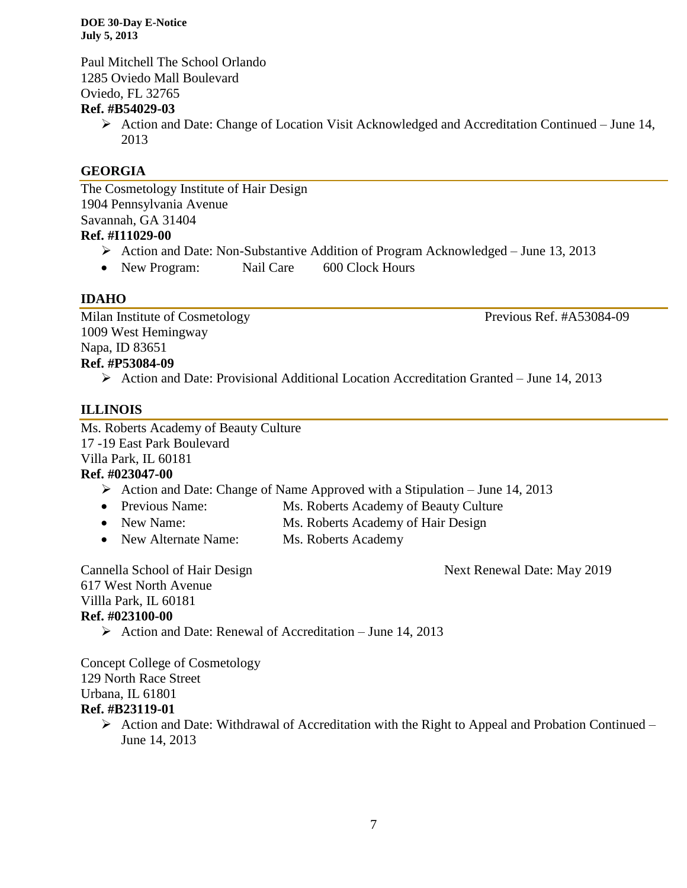Paul Mitchell The School Orlando 1285 Oviedo Mall Boulevard Oviedo, FL 32765

# **Ref. #B54029-03**

 $\triangleright$  Action and Date: Change of Location Visit Acknowledged and Accreditation Continued – June 14, 2013

# **GEORGIA**

The Cosmetology Institute of Hair Design 1904 Pennsylvania Avenue Savannah, GA 31404

# **Ref. #I11029-00**

- $\triangleright$  Action and Date: Non-Substantive Addition of Program Acknowledged June 13, 2013
- New Program: Nail Care 600 Clock Hours

# **IDAHO**

Milan Institute of Cosmetology Previous Ref. #A53084-09 1009 West Hemingway Napa, ID 83651 **Ref. #P53084-09**

 $\triangleright$  Action and Date: Provisional Additional Location Accreditation Granted – June 14, 2013

# **ILLINOIS**

Ms. Roberts Academy of Beauty Culture 17 -19 East Park Boulevard Villa Park, IL 60181

# **Ref. #023047-00**

- Action and Date: Change of Name Approved with a Stipulation June 14, 2013
- Previous Name: Ms. Roberts Academy of Beauty Culture
- New Name: Ms. Roberts Academy of Hair Design
- New Alternate Name: Ms. Roberts Academy

Cannella School of Hair Design Next Renewal Date: May 2019

617 West North Avenue Villla Park, IL 60181 **Ref. #023100-00**

 $\triangleright$  Action and Date: Renewal of Accreditation – June 14, 2013

Concept College of Cosmetology 129 North Race Street Urbana, IL 61801 **Ref. #B23119-01**

 $\triangleright$  Action and Date: Withdrawal of Accreditation with the Right to Appeal and Probation Continued – June 14, 2013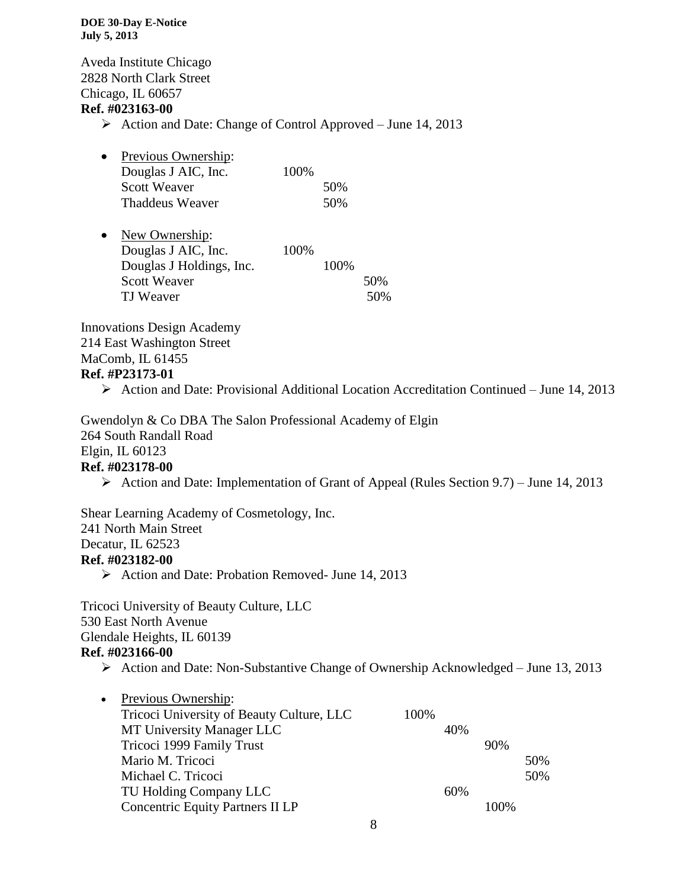Aveda Institute Chicago 2828 North Clark Street Chicago, IL 60657

# **Ref. #023163-00**

- $\triangleright$  Action and Date: Change of Control Approved June 14, 2013
- Previous Ownership: Douglas J AIC, Inc. 100% Scott Weaver 50% Thaddeus Weaver 50%

| $\bullet$ | New Ownership:           |       |      |     |
|-----------|--------------------------|-------|------|-----|
|           | Douglas J AIC, Inc.      | 100\% |      |     |
|           | Douglas J Holdings, Inc. |       | 100% |     |
|           | <b>Scott Weaver</b>      |       |      | 50% |
|           | TJ Weaver                |       |      | 50% |

Innovations Design Academy 214 East Washington Street MaComb, IL 61455 **Ref. #P23173-01**

Action and Date: Provisional Additional Location Accreditation Continued – June 14, 2013

Gwendolyn & Co DBA The Salon Professional Academy of Elgin 264 South Randall Road Elgin, IL 60123 **Ref. #023178-00**

Action and Date: Implementation of Grant of Appeal (Rules Section 9.7) – June 14, 2013

Shear Learning Academy of Cosmetology, Inc. 241 North Main Street Decatur, IL 62523

# **Ref. #023182-00**

 $\triangleright$  Action and Date: Probation Removed- June 14, 2013

Tricoci University of Beauty Culture, LLC 530 East North Avenue Glendale Heights, IL 60139 **Ref. #023166-00**

 $\triangleright$  Action and Date: Non-Substantive Change of Ownership Acknowledged – June 13, 2013

| Previous Ownership:                       |      |     |         |     |
|-------------------------------------------|------|-----|---------|-----|
| Tricoci University of Beauty Culture, LLC | 100% |     |         |     |
| MT University Manager LLC                 |      | 40% |         |     |
| Tricoci 1999 Family Trust                 |      |     | 90%     |     |
| Mario M. Tricoci                          |      |     |         | 50% |
| Michael C. Tricoci                        |      |     |         | 50% |
| TU Holding Company LLC                    |      | 60% |         |     |
| <b>Concentric Equity Partners II LP</b>   |      |     | $100\%$ |     |
|                                           |      |     |         |     |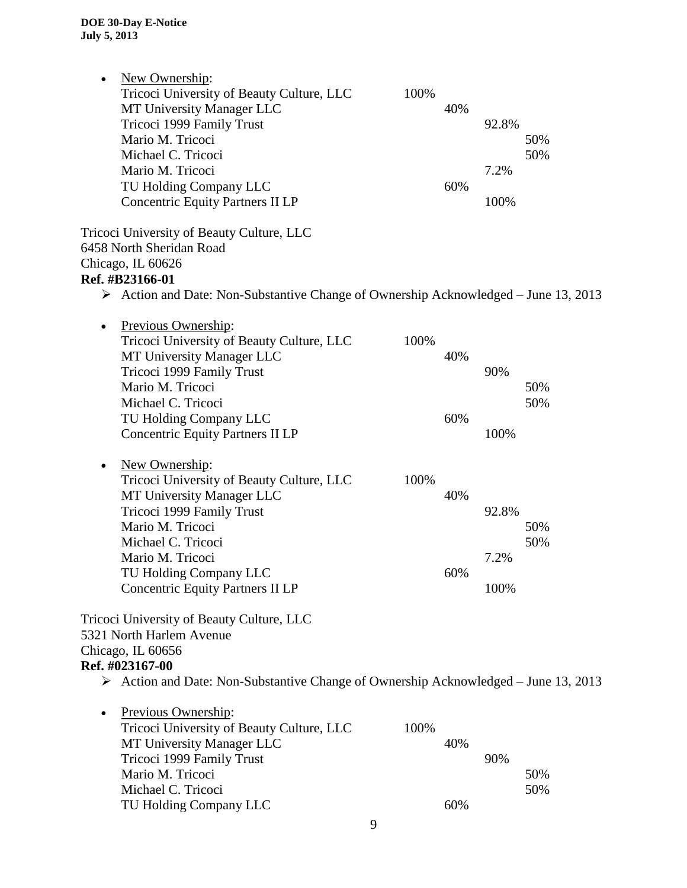| New Ownership:<br>$\bullet$<br>Tricoci University of Beauty Culture, LLC<br>MT University Manager LLC<br>Tricoci 1999 Family Trust<br>Mario M. Tricoci<br>Michael C. Tricoci<br>Mario M. Tricoci<br>TU Holding Company LLC<br><b>Concentric Equity Partners II LP</b><br>Tricoci University of Beauty Culture, LLC | 100% | 40%<br>60% | 92.8%<br>7.2%<br>100% | 50%<br>50% |
|--------------------------------------------------------------------------------------------------------------------------------------------------------------------------------------------------------------------------------------------------------------------------------------------------------------------|------|------------|-----------------------|------------|
| 6458 North Sheridan Road<br>Chicago, IL 60626                                                                                                                                                                                                                                                                      |      |            |                       |            |
| Ref. #B23166-01                                                                                                                                                                                                                                                                                                    |      |            |                       |            |
| $\triangleright$ Action and Date: Non-Substantive Change of Ownership Acknowledged – June 13, 2013                                                                                                                                                                                                                 |      |            |                       |            |
| Previous Ownership:<br>$\bullet$<br>Tricoci University of Beauty Culture, LLC<br>MT University Manager LLC<br>Tricoci 1999 Family Trust<br>Mario M. Tricoci<br>Michael C. Tricoci                                                                                                                                  | 100% | 40%        | 90%                   | 50%<br>50% |
| TU Holding Company LLC<br><b>Concentric Equity Partners II LP</b><br>New Ownership:<br>$\bullet$                                                                                                                                                                                                                   |      | 60%        | 100%                  |            |
| Tricoci University of Beauty Culture, LLC<br>MT University Manager LLC<br>Tricoci 1999 Family Trust<br>Mario M. Tricoci<br>Michael C. Tricoci                                                                                                                                                                      | 100% | 40%        | 92.8%                 | 50%<br>50% |
| Mario M. Tricoci                                                                                                                                                                                                                                                                                                   |      |            | 7.2%                  |            |
| TU Holding Company LLC<br><b>Concentric Equity Partners II LP</b>                                                                                                                                                                                                                                                  |      | 60%        | 100%                  |            |
| Tricoci University of Beauty Culture, LLC<br>5321 North Harlem Avenue<br>Chicago, IL 60656<br>Ref. #023167-00                                                                                                                                                                                                      |      |            |                       |            |
| $\triangleright$ Action and Date: Non-Substantive Change of Ownership Acknowledged – June 13, 2013                                                                                                                                                                                                                 |      |            |                       |            |
| Previous Ownership:<br>$\bullet$<br>Tricoci University of Beauty Culture, LLC<br>MT University Manager LLC<br>Tricoci 1999 Family Trust<br>Mario M. Tricoci<br>Michael C. Tricoci                                                                                                                                  | 100% | 40%        | 90%                   | 50%<br>50% |
| TU Holding Company LLC                                                                                                                                                                                                                                                                                             |      | 60%        |                       |            |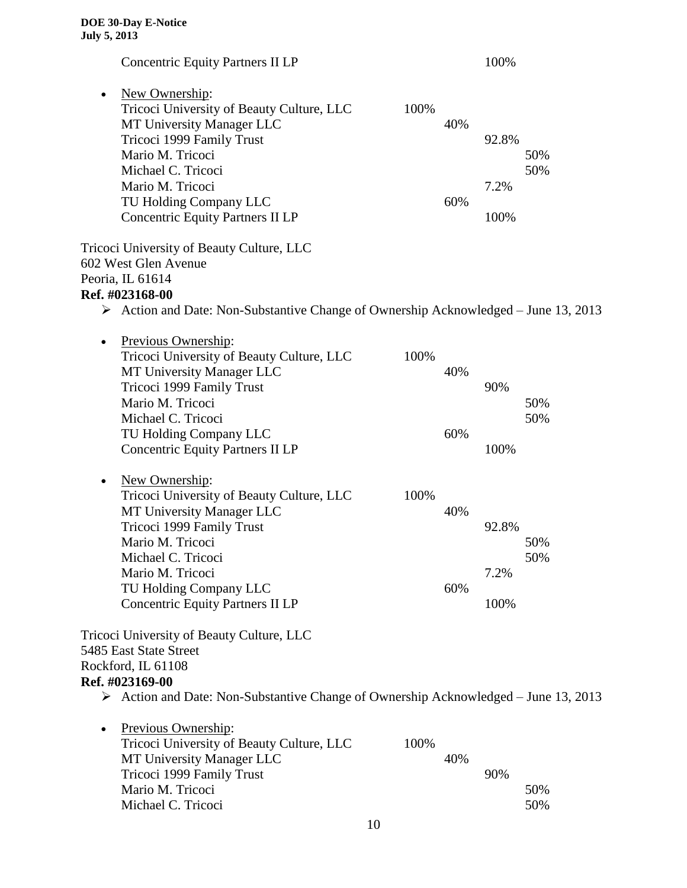| <b>Concentric Equity Partners II LP</b>                                                                                                                                                                                                                               |                    | 100%                  |            |
|-----------------------------------------------------------------------------------------------------------------------------------------------------------------------------------------------------------------------------------------------------------------------|--------------------|-----------------------|------------|
| New Ownership:<br>$\bullet$<br>Tricoci University of Beauty Culture, LLC<br>MT University Manager LLC<br>Tricoci 1999 Family Trust<br>Mario M. Tricoci                                                                                                                | 100%<br>40%        | 92.8%                 | 50%        |
| Michael C. Tricoci<br>Mario M. Tricoci<br>TU Holding Company LLC<br><b>Concentric Equity Partners II LP</b>                                                                                                                                                           | 60%                | 7.2%<br>100%          | 50%        |
| Tricoci University of Beauty Culture, LLC<br>602 West Glen Avenue<br>Peoria, IL 61614<br>Ref. #023168-00<br>$\triangleright$ Action and Date: Non-Substantive Change of Ownership Acknowledged – June 13, 2013                                                        |                    |                       |            |
| Previous Ownership:<br>$\bullet$<br>Tricoci University of Beauty Culture, LLC<br>MT University Manager LLC<br>Tricoci 1999 Family Trust<br>Mario M. Tricoci<br>Michael C. Tricoci                                                                                     | 100%<br>40%        | 90%                   | 50%<br>50% |
| TU Holding Company LLC<br><b>Concentric Equity Partners II LP</b>                                                                                                                                                                                                     | 60%                | 100%                  |            |
| New Ownership:<br>$\bullet$<br>Tricoci University of Beauty Culture, LLC<br>MT University Manager LLC<br>Tricoci 1999 Family Trust<br>Mario M. Tricoci<br>Michael C. Tricoci<br>Mario M. Tricoci<br>TU Holding Company LLC<br><b>Concentric Equity Partners II LP</b> | 100%<br>40%<br>60% | 92.8%<br>7.2%<br>100% | 50%<br>50% |
| Tricoci University of Beauty Culture, LLC<br>5485 East State Street<br>Rockford, IL 61108<br>Ref. #023169-00<br>$\triangleright$ Action and Date: Non-Substantive Change of Ownership Acknowledged – June 13, 2013                                                    |                    |                       |            |
| Previous Ownership:<br>Tricoci University of Beauty Culture, LLC<br>MT University Manager LLC<br>Tricoci 1999 Family Trust<br>Mario M. Tricoci<br>Michael C. Tricoci                                                                                                  | 100%<br>40%        | 90%                   | 50%<br>50% |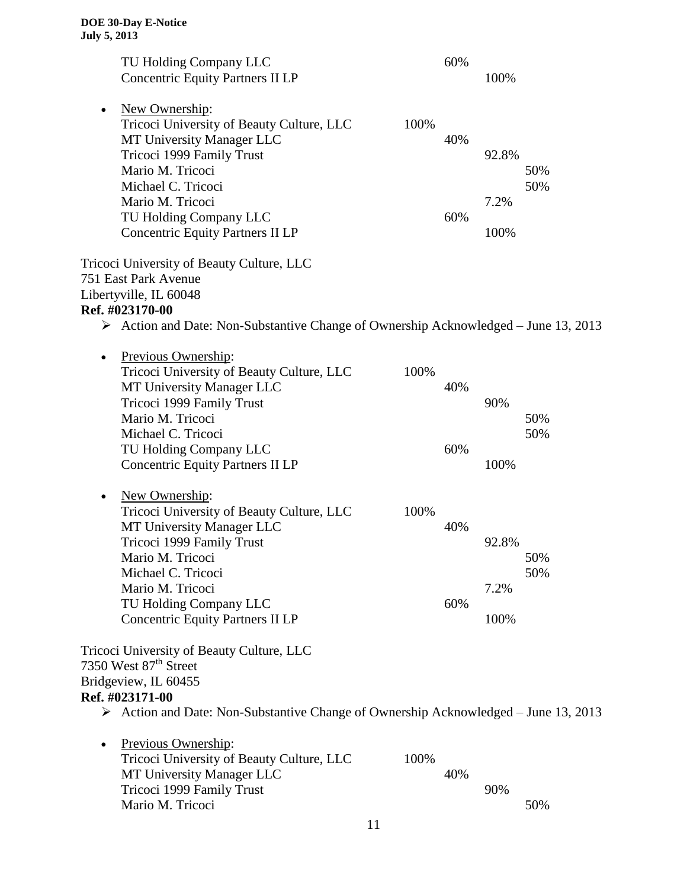| TU Holding Company LLC                                                                             |      | 60% |       |            |
|----------------------------------------------------------------------------------------------------|------|-----|-------|------------|
| <b>Concentric Equity Partners II LP</b>                                                            |      |     | 100%  |            |
|                                                                                                    |      |     |       |            |
| New Ownership:<br>$\bullet$                                                                        |      |     |       |            |
| Tricoci University of Beauty Culture, LLC                                                          | 100% |     |       |            |
| MT University Manager LLC                                                                          |      | 40% |       |            |
| Tricoci 1999 Family Trust                                                                          |      |     | 92.8% |            |
| Mario M. Tricoci                                                                                   |      |     |       | 50%        |
| Michael C. Tricoci                                                                                 |      |     |       | 50%        |
| Mario M. Tricoci                                                                                   |      |     | 7.2%  |            |
| TU Holding Company LLC                                                                             |      | 60% |       |            |
| <b>Concentric Equity Partners II LP</b>                                                            |      |     | 100%  |            |
| Tricoci University of Beauty Culture, LLC                                                          |      |     |       |            |
| 751 East Park Avenue                                                                               |      |     |       |            |
| Libertyville, IL 60048                                                                             |      |     |       |            |
| Ref. #023170-00                                                                                    |      |     |       |            |
| $\triangleright$ Action and Date: Non-Substantive Change of Ownership Acknowledged – June 13, 2013 |      |     |       |            |
|                                                                                                    |      |     |       |            |
| Previous Ownership:<br>$\bullet$                                                                   |      |     |       |            |
| Tricoci University of Beauty Culture, LLC                                                          | 100% |     |       |            |
| MT University Manager LLC                                                                          |      | 40% |       |            |
| Tricoci 1999 Family Trust                                                                          |      |     | 90%   |            |
| Mario M. Tricoci                                                                                   |      |     |       | 50%        |
| Michael C. Tricoci                                                                                 |      |     |       | 50%        |
| TU Holding Company LLC                                                                             |      | 60% |       |            |
| <b>Concentric Equity Partners II LP</b>                                                            |      |     | 100%  |            |
|                                                                                                    |      |     |       |            |
| New Ownership:<br>٠                                                                                |      |     |       |            |
| Tricoci University of Beauty Culture, LLC                                                          | 100% |     |       |            |
| MT University Manager LLC                                                                          |      | 40% | 92.8% |            |
| Tricoci 1999 Family Trust<br>Mario M. Tricoci                                                      |      |     |       |            |
| Michael C. Tricoci                                                                                 |      |     |       | 50%<br>50% |
| Mario M. Tricoci                                                                                   |      |     | 7.2%  |            |
| TU Holding Company LLC                                                                             |      | 60% |       |            |
| <b>Concentric Equity Partners II LP</b>                                                            |      |     | 100%  |            |
|                                                                                                    |      |     |       |            |
| Tricoci University of Beauty Culture, LLC                                                          |      |     |       |            |
| 7350 West 87 <sup>th</sup> Street                                                                  |      |     |       |            |
| Bridgeview, IL 60455                                                                               |      |     |       |            |
| Ref. #023171-00                                                                                    |      |     |       |            |
| $\triangleright$ Action and Date: Non-Substantive Change of Ownership Acknowledged – June 13, 2013 |      |     |       |            |
|                                                                                                    |      |     |       |            |
| Previous Ownership:                                                                                |      |     |       |            |
| Tricoci University of Beauty Culture, LLC                                                          | 100% |     |       |            |
| MT University Manager LLC                                                                          |      | 40% |       |            |
| Tricoci 1999 Family Trust                                                                          |      |     | 90%   |            |
| Mario M. Tricoci                                                                                   |      |     |       | 50%        |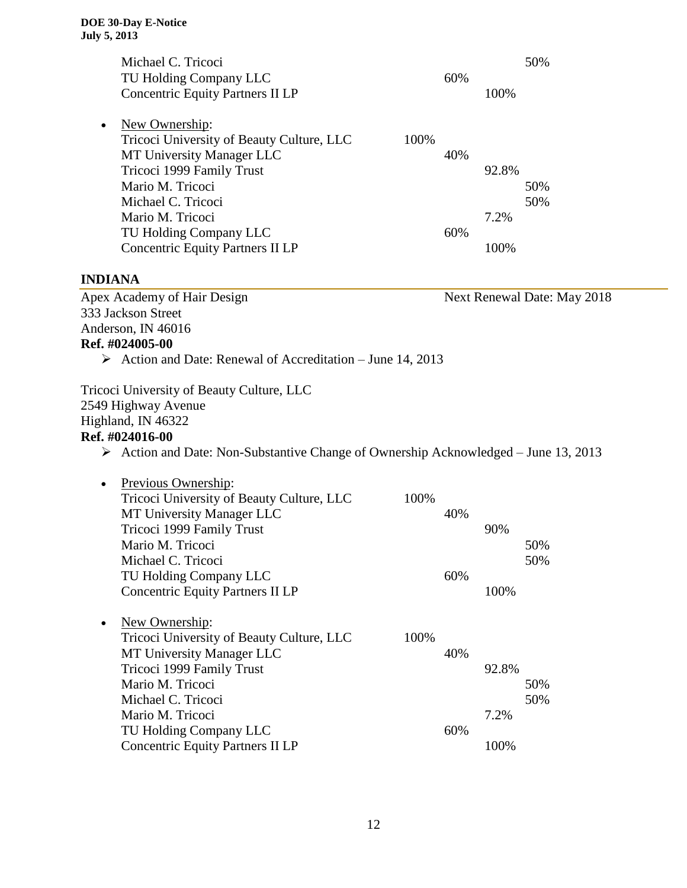| Michael C. Tricoci<br>TU Holding Company LLC<br><b>Concentric Equity Partners II LP</b>                                                                                           |      | 60% | 100%         | 50%                         |
|-----------------------------------------------------------------------------------------------------------------------------------------------------------------------------------|------|-----|--------------|-----------------------------|
| New Ownership:<br>$\bullet$<br>Tricoci University of Beauty Culture, LLC<br>MT University Manager LLC<br>Tricoci 1999 Family Trust<br>Mario M. Tricoci                            | 100% | 40% | 92.8%        | 50%                         |
| Michael C. Tricoci<br>Mario M. Tricoci<br>TU Holding Company LLC<br><b>Concentric Equity Partners II LP</b>                                                                       |      | 60% | 7.2%<br>100% | 50%                         |
| <b>INDIANA</b>                                                                                                                                                                    |      |     |              |                             |
| Apex Academy of Hair Design<br>333 Jackson Street<br>Anderson, IN 46016<br>Ref. #024005-00<br>$\triangleright$ Action and Date: Renewal of Accreditation – June 14, 2013          |      |     |              | Next Renewal Date: May 2018 |
| Tricoci University of Beauty Culture, LLC<br>2549 Highway Avenue<br>Highland, IN 46322<br>Ref. #024016-00                                                                         |      |     |              |                             |
| $\triangleright$ Action and Date: Non-Substantive Change of Ownership Acknowledged – June 13, 2013                                                                                |      |     |              |                             |
| Previous Ownership:<br>$\bullet$<br>Tricoci University of Beauty Culture, LLC<br>MT University Manager LLC<br>Tricoci 1999 Family Trust<br>Mario M. Tricoci<br>Michael C. Tricoci | 100% | 40% | 90%          | 50%<br>50%                  |
| TU Holding Company LLC<br><b>Concentric Equity Partners II LP</b>                                                                                                                 |      | 60% | 100%         |                             |
| New Ownership:<br>$\bullet$<br>Tricoci University of Beauty Culture, LLC<br>MT University Manager LLC<br>Tricoci 1999 Family Trust<br>Mario M. Tricoci<br>Michael C. Tricoci      | 100% | 40% | 92.8%        | 50%<br>50%                  |
| Mario M. Tricoci<br>TU Holding Company LLC<br><b>Concentric Equity Partners II LP</b>                                                                                             |      | 60% | 7.2%<br>100% |                             |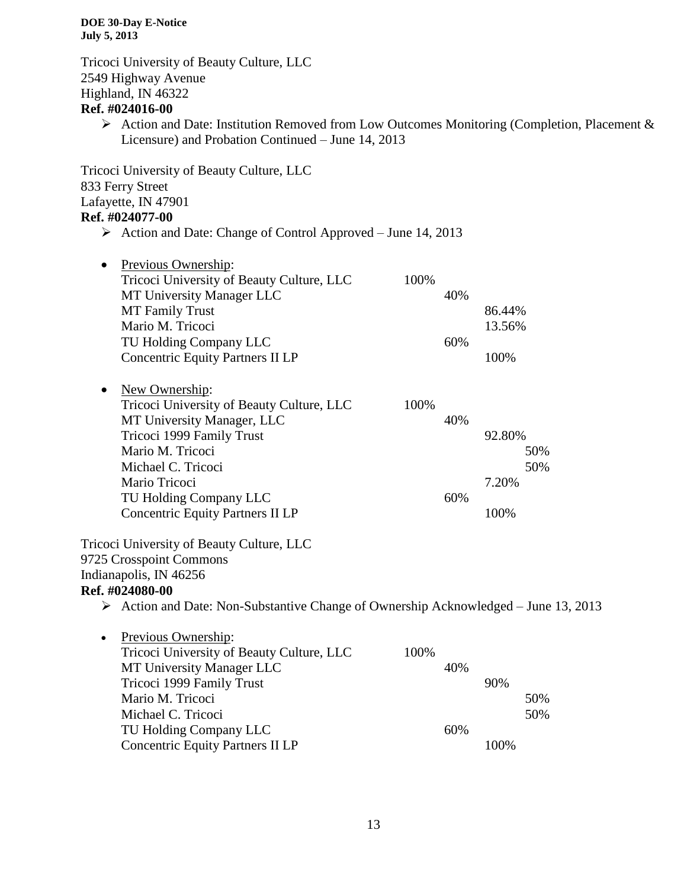Tricoci University of Beauty Culture, LLC 2549 Highway Avenue Highland, IN 46322

# **Ref. #024016-00**

 $\triangleright$  Action and Date: Institution Removed from Low Outcomes Monitoring (Completion, Placement & Licensure) and Probation Continued – June 14, 2013

Tricoci University of Beauty Culture, LLC 833 Ferry Street Lafayette, IN 47901

# **Ref. #024077-00**

 $\triangleright$  Action and Date: Change of Control Approved – June 14, 2013

| Previous Ownership:<br>$\bullet$<br>Tricoci University of Beauty Culture, LLC<br>MT University Manager LLC<br>MT Family Trust<br>Mario M. Tricoci<br>TU Holding Company LLC<br><b>Concentric Equity Partners II LP</b>                                                                                   | 100%<br>40%<br>60% | 86.44%<br>13.56%<br>100%              |  |
|----------------------------------------------------------------------------------------------------------------------------------------------------------------------------------------------------------------------------------------------------------------------------------------------------------|--------------------|---------------------------------------|--|
| New Ownership:<br>$\bullet$<br>Tricoci University of Beauty Culture, LLC<br>MT University Manager, LLC<br>Tricoci 1999 Family Trust<br>Mario M. Tricoci<br>Michael C. Tricoci<br>Mario Tricoci<br>TU Holding Company LLC<br><b>Concentric Equity Partners II LP</b>                                      | 100%<br>40%<br>60% | 92.80%<br>50%<br>50%<br>7.20%<br>100% |  |
| Tricoci University of Beauty Culture, LLC<br>9725 Crosspoint Commons<br>Indianapolis, IN 46256<br>Ref. #024080-00<br>$\triangleright$ Action and Date: Non-Substantive Change of Ownership Acknowledged – June 13, 2013<br>Previous Ownership:<br>$\bullet$<br>Tricoci University of Beauty Culture, LLC | 100%               |                                       |  |
| MT University Manager LLC<br>Tricoci 1999 Family Trust<br>Mario M. Tricoci<br>Michael C. Tricoci<br>TU Holding Company LLC<br><b>Concentric Equity Partners II LP</b>                                                                                                                                    | 40%<br>60%         | 90%<br>50%<br>50%<br>100%             |  |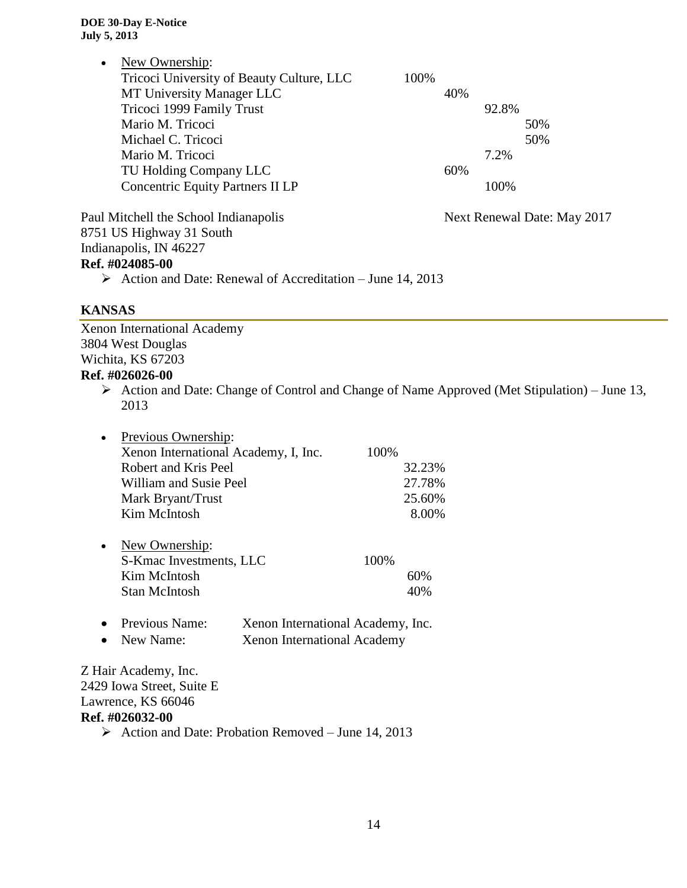| New Ownership:<br>Tricoci University of Beauty Culture, LLC<br>MT University Manager LLC<br>Tricoci 1999 Family Trust<br>Mario M. Tricoci<br>Michael C. Tricoci<br>Mario M. Tricoci<br>TU Holding Company LLC<br><b>Concentric Equity Partners II LP</b> | 100%<br>40%<br>92.8%<br>50%<br>50%<br>7.2%<br>60%<br>100% |  |
|----------------------------------------------------------------------------------------------------------------------------------------------------------------------------------------------------------------------------------------------------------|-----------------------------------------------------------|--|
| Paul Mitchell the School Indianapolis<br>8751 US Highway 31 South<br>Indianapolis, IN 46227<br>Ref. #024085-00<br>Action and Date: Renewal of Accreditation – June 14, 2013<br>➤                                                                         | Next Renewal Date: May 2017                               |  |

# **KANSAS**

Xenon International Academy 3804 West Douglas Wichita, KS 67203 **Ref. #026026-00** Action and Date: Change of Control and Change of Name Approved (Met Stipulation) – June 13,

2013

| 100%   |
|--------|
|        |
| 32.23% |
| 27.78% |
| 25.60% |
| 8.00%  |
|        |
| 100%   |
| 60%    |
| 40%    |
|        |

 Previous Name: Xenon International Academy, Inc. • New Name: Xenon International Academy

Z Hair Academy, Inc. 2429 Iowa Street, Suite E Lawrence, KS 66046 **Ref. #026032-00**

 $\triangleright$  Action and Date: Probation Removed – June 14, 2013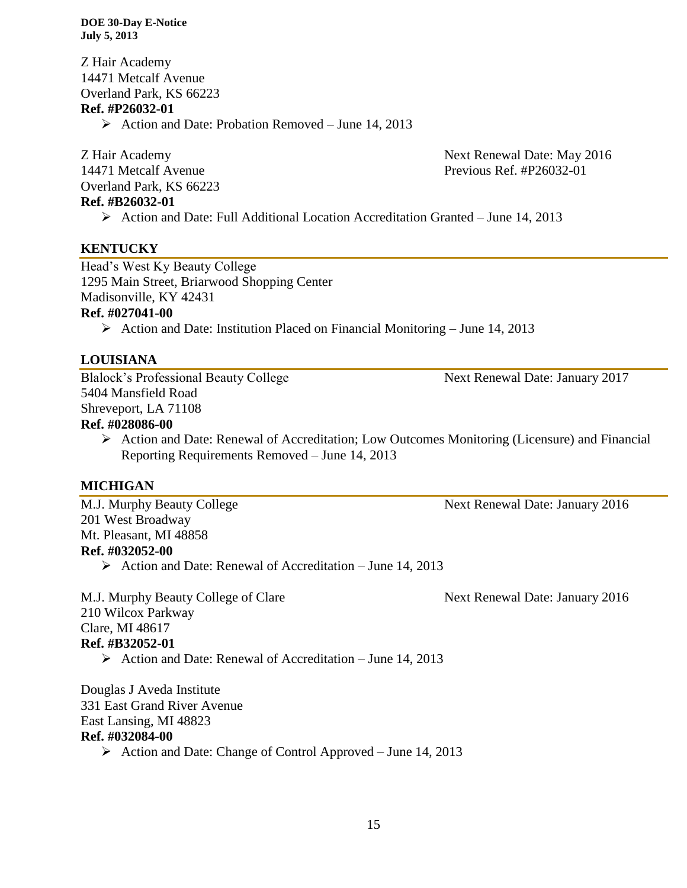Z Hair Academy 14471 Metcalf Avenue Overland Park, KS 66223 **Ref. #P26032-01**

 $\triangleright$  Action and Date: Probation Removed – June 14, 2013

Overland Park, KS 66223 **Ref. #B26032-01**

Z Hair Academy Next Renewal Date: May 2016 14471 Metcalf Avenue Previous Ref. #P26032-01

Action and Date: Full Additional Location Accreditation Granted – June 14, 2013

## **KENTUCKY**

Head's West Ky Beauty College 1295 Main Street, Briarwood Shopping Center Madisonville, KY 42431

## **Ref. #027041-00**

Action and Date: Institution Placed on Financial Monitoring – June 14, 2013

# **LOUISIANA**

Blalock's Professional Beauty College Next Renewal Date: January 2017 5404 Mansfield Road Shreveport, LA 71108

# **Ref. #028086-00**

 Action and Date: Renewal of Accreditation; Low Outcomes Monitoring (Licensure) and Financial Reporting Requirements Removed – June 14, 2013

# **MICHIGAN**

M.J. Murphy Beauty College Next Renewal Date: January 2016 201 West Broadway Mt. Pleasant, MI 48858 **Ref. #032052-00**  $\triangleright$  Action and Date: Renewal of Accreditation – June 14, 2013

M.J. Murphy Beauty College of Clare Next Renewal Date: January 2016 210 Wilcox Parkway Clare, MI 48617 **Ref. #B32052-01**  $\triangleright$  Action and Date: Renewal of Accreditation – June 14, 2013

Douglas J Aveda Institute 331 East Grand River Avenue East Lansing, MI 48823 **Ref. #032084-00**

 $\triangleright$  Action and Date: Change of Control Approved – June 14, 2013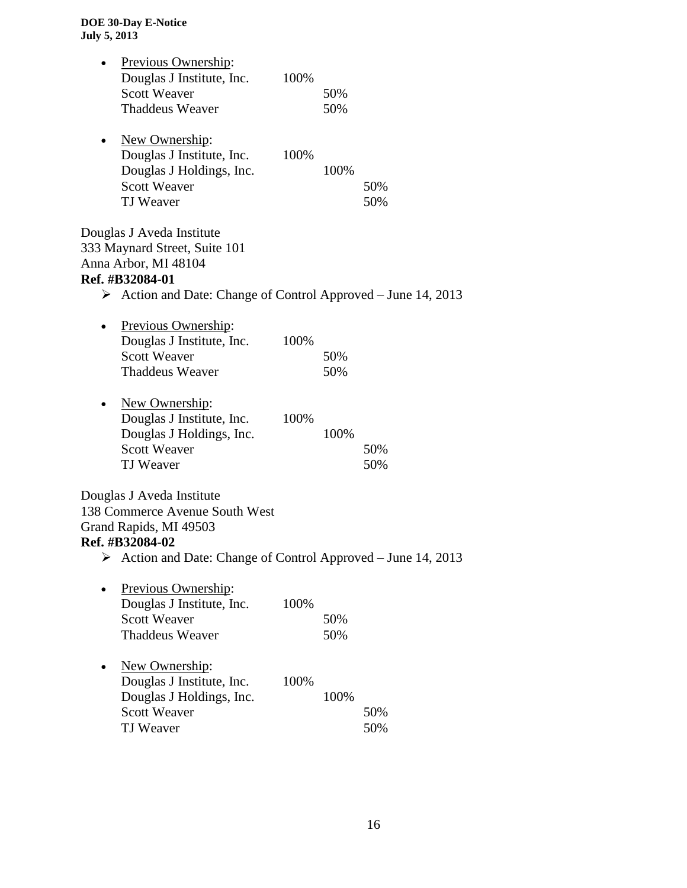|   | Previous Ownership:<br>Douglas J Institute, Inc.<br><b>Scott Weaver</b><br><b>Thaddeus Weaver</b>                                                                                     | 100% | 50%<br>50% |            |
|---|---------------------------------------------------------------------------------------------------------------------------------------------------------------------------------------|------|------------|------------|
|   | New Ownership:<br>Douglas J Institute, Inc.<br>Douglas J Holdings, Inc.<br><b>Scott Weaver</b><br><b>TJ</b> Weaver                                                                    | 100% | 100%       | 50%<br>50% |
|   | Douglas J Aveda Institute<br>333 Maynard Street, Suite 101<br>Anna Arbor, MI 48104<br>Ref. #B32084-01<br>$\triangleright$ Action and Date: Change of Control Approved – June 14, 2013 |      |            |            |
|   | Previous Ownership:<br>Douglas J Institute, Inc.<br><b>Scott Weaver</b><br><b>Thaddeus Weaver</b>                                                                                     | 100% | 50%<br>50% |            |
|   | New Ownership:<br>Douglas J Institute, Inc.<br>Douglas J Holdings, Inc.<br><b>Scott Weaver</b><br><b>TJ</b> Weaver                                                                    | 100% | 100%       | 50%<br>50% |
| ➤ | Douglas J Aveda Institute<br>138 Commerce Avenue South West<br>Grand Rapids, MI 49503<br>Ref. #B32084-02<br>Action and Date: Change of Control Approved - June 14, 2013               |      |            |            |
|   | Previous Ownership:<br>Douglas J Institute, Inc.<br><b>Scott Weaver</b><br><b>Thaddeus Weaver</b>                                                                                     | 100% | 50%<br>50% |            |
|   | New Ownership:<br>Douglas J Institute, Inc.<br>Douglas J Holdings, Inc.<br><b>Scott Weaver</b><br><b>TJ</b> Weaver                                                                    | 100% | 100%       | 50%<br>50% |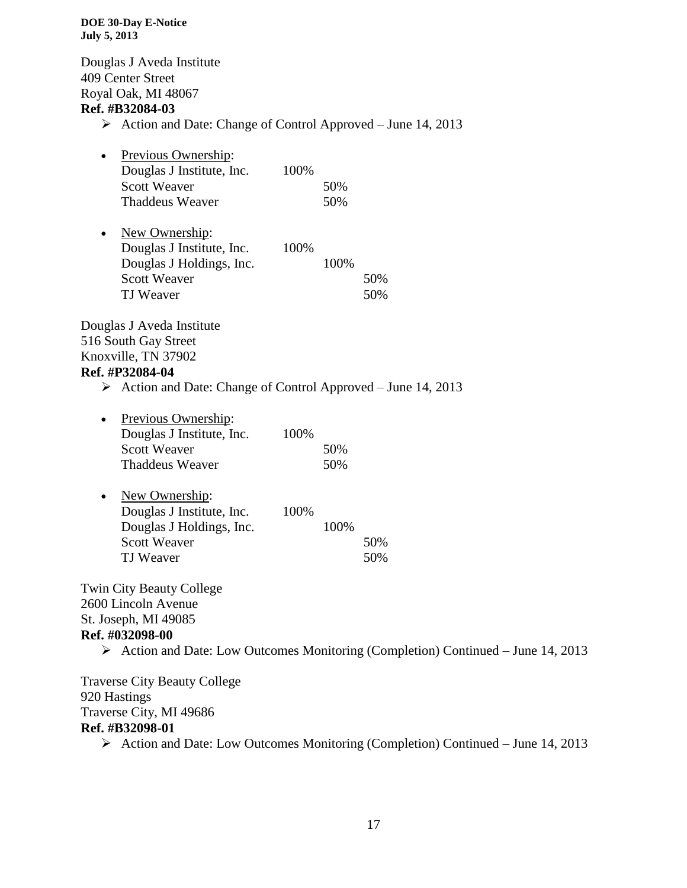Douglas J Aveda Institute 409 Center Street Royal Oak, MI 48067 **Ref. #B32084-03**

 $\triangleright$  Action and Date: Change of Control Approved – June 14, 2013

| $\bullet$ | Previous Ownership:       |       |     |
|-----------|---------------------------|-------|-----|
|           | Douglas J Institute, Inc. | 100\% |     |
|           | <b>Scott Weaver</b>       |       | 50% |
|           | <b>Thaddeus Weaver</b>    |       | 50% |

| $\bullet$ | New Ownership:            |      |      |     |
|-----------|---------------------------|------|------|-----|
|           | Douglas J Institute, Inc. | 100% |      |     |
|           | Douglas J Holdings, Inc.  |      | 100% |     |
|           | <b>Scott Weaver</b>       |      |      | 50% |
|           | TJ Weaver                 |      |      | 50% |

Douglas J Aveda Institute 516 South Gay Street Knoxville, TN 37902 **Ref. #P32084-04**

# $\triangleright$  Action and Date: Change of Control Approved – June 14, 2013

| $\bullet$ | Previous Ownership:       |      |     |
|-----------|---------------------------|------|-----|
|           | Douglas J Institute, Inc. | 100% |     |
|           | <b>Scott Weaver</b>       |      | 50% |
|           | <b>Thaddeus Weaver</b>    |      | 50% |

| $\bullet$ | New Ownership:            |      |      |     |
|-----------|---------------------------|------|------|-----|
|           | Douglas J Institute, Inc. | 100% |      |     |
|           | Douglas J Holdings, Inc.  |      | 100% |     |
|           | <b>Scott Weaver</b>       |      |      | 50% |
|           | TJ Weaver                 |      |      | 50% |

Twin City Beauty College 2600 Lincoln Avenue St. Joseph, MI 49085 **Ref. #032098-00**

 $\triangleright$  Action and Date: Low Outcomes Monitoring (Completion) Continued – June 14, 2013

Traverse City Beauty College 920 Hastings Traverse City, MI 49686 **Ref. #B32098-01**  $\triangleright$  Action and Date: Low Outcomes Monitoring (Completion) Continued – June 14, 2013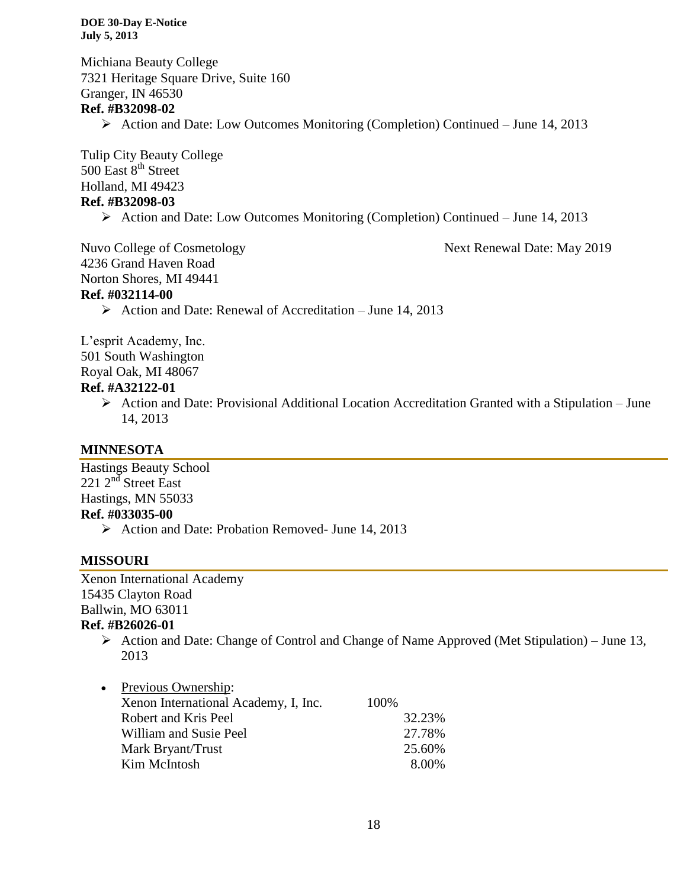Michiana Beauty College 7321 Heritage Square Drive, Suite 160 Granger, IN 46530 **Ref. #B32098-02**  $\triangleright$  Action and Date: Low Outcomes Monitoring (Completion) Continued – June 14, 2013

Tulip City Beauty College 500 East 8<sup>th</sup> Street Holland, MI 49423 **Ref. #B32098-03**

 $\triangleright$  Action and Date: Low Outcomes Monitoring (Completion) Continued – June 14, 2013

4236 Grand Haven Road

Nuvo College of Cosmetology Next Renewal Date: May 2019

Norton Shores, MI 49441

# **Ref. #032114-00**

 $\triangleright$  Action and Date: Renewal of Accreditation – June 14, 2013

L'esprit Academy, Inc. 501 South Washington Royal Oak, MI 48067 **Ref. #A32122-01**

> $\triangleright$  Action and Date: Provisional Additional Location Accreditation Granted with a Stipulation – June 14, 2013

# **MINNESOTA**

Hastings Beauty School  $221$   $2<sup>nd</sup>$  Street East Hastings, MN 55033 **Ref. #033035-00**

 $\triangleright$  Action and Date: Probation Removed- June 14, 2013

# **MISSOURI**

Xenon International Academy 15435 Clayton Road Ballwin, MO 63011 **Ref. #B26026-01**

> $\triangleright$  Action and Date: Change of Control and Change of Name Approved (Met Stipulation) – June 13, 2013

| Previous Ownership:                  |        |
|--------------------------------------|--------|
| Xenon International Academy, I, Inc. | 100%   |
| Robert and Kris Peel                 | 32.23% |
| William and Susie Peel               | 27.78% |
| Mark Bryant/Trust                    | 25.60% |
| Kim McIntosh                         | 8.00%  |
|                                      |        |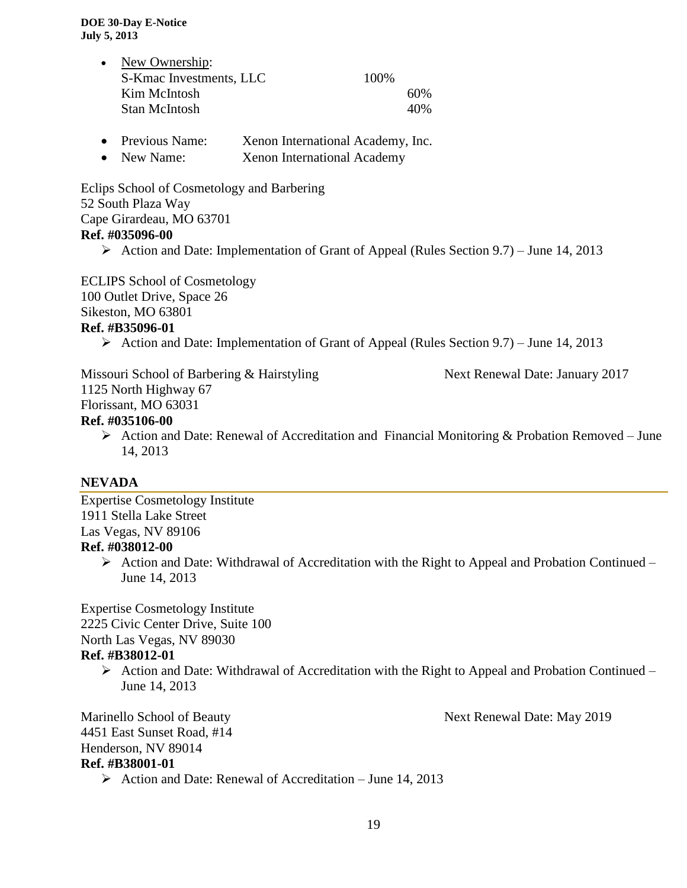| • New Ownership:        |       |     |
|-------------------------|-------|-----|
| S-Kmac Investments, LLC | 100\% |     |
| Kim McIntosh            |       | 60% |
| <b>Stan McIntosh</b>    |       | 40% |

- Previous Name: Xenon International Academy, Inc.
- New Name: Xenon International Academy

Eclips School of Cosmetology and Barbering 52 South Plaza Way Cape Girardeau, MO 63701 **Ref. #035096-00**

Action and Date: Implementation of Grant of Appeal (Rules Section 9.7) – June 14, 2013

ECLIPS School of Cosmetology 100 Outlet Drive, Space 26 Sikeston, MO 63801 **Ref. #B35096-01**

Action and Date: Implementation of Grant of Appeal (Rules Section 9.7) – June 14, 2013

Missouri School of Barbering & Hairstyling Next Renewal Date: January 2017 1125 North Highway 67 Florissant, MO 63031

# **Ref. #035106-00**

 $\triangleright$  Action and Date: Renewal of Accreditation and Financial Monitoring & Probation Removed – June 14, 2013

# **NEVADA**

Expertise Cosmetology Institute 1911 Stella Lake Street Las Vegas, NV 89106

# **Ref. #038012-00**

 $\triangleright$  Action and Date: Withdrawal of Accreditation with the Right to Appeal and Probation Continued – June 14, 2013

Expertise Cosmetology Institute 2225 Civic Center Drive, Suite 100 North Las Vegas, NV 89030

# **Ref. #B38012-01**

 $\triangleright$  Action and Date: Withdrawal of Accreditation with the Right to Appeal and Probation Continued – June 14, 2013

Marinello School of Beauty Next Renewal Date: May 2019 4451 East Sunset Road, #14 Henderson, NV 89014 **Ref. #B38001-01**

 $\triangleright$  Action and Date: Renewal of Accreditation – June 14, 2013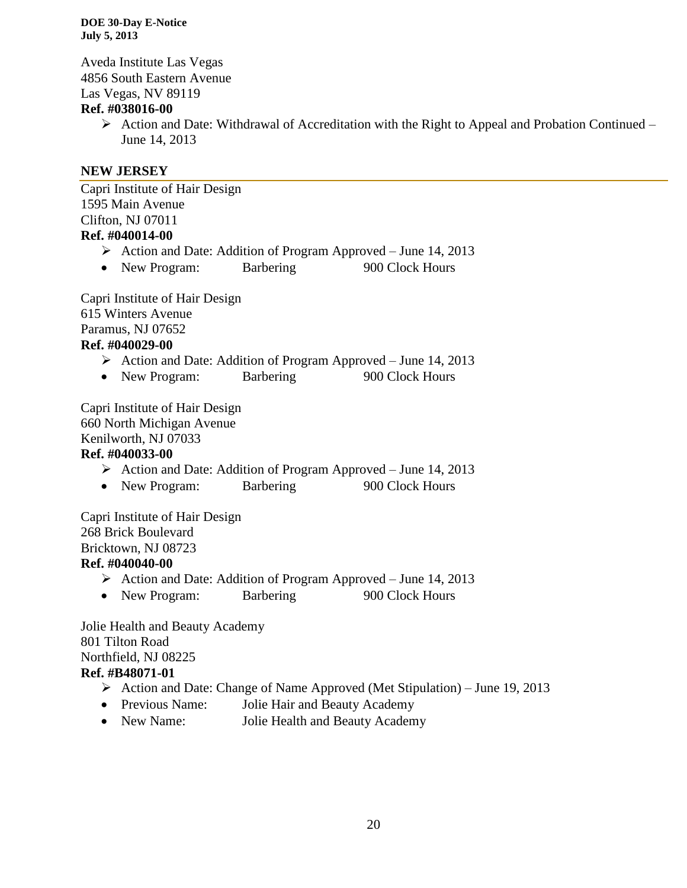Aveda Institute Las Vegas 4856 South Eastern Avenue Las Vegas, NV 89119

# **Ref. #038016-00**

 $\triangleright$  Action and Date: Withdrawal of Accreditation with the Right to Appeal and Probation Continued – June 14, 2013

# **NEW JERSEY**

Capri Institute of Hair Design 1595 Main Avenue Clifton, NJ 07011 **Ref. #040014-00**

- Action and Date: Addition of Program Approved June 14, 2013
- New Program: Barbering 900 Clock Hours

Capri Institute of Hair Design 615 Winters Avenue Paramus, NJ 07652 **Ref. #040029-00**

- Action and Date: Addition of Program Approved June 14, 2013
- New Program: Barbering 900 Clock Hours

Capri Institute of Hair Design 660 North Michigan Avenue Kenilworth, NJ 07033

# **Ref. #040033-00**

- $\triangleright$  Action and Date: Addition of Program Approved June 14, 2013
- New Program: Barbering 900 Clock Hours

Capri Institute of Hair Design 268 Brick Boulevard Bricktown, NJ 08723

# **Ref. #040040-00**

- Action and Date: Addition of Program Approved June 14, 2013
- New Program: Barbering 900 Clock Hours

Jolie Health and Beauty Academy 801 Tilton Road Northfield, NJ 08225 **Ref. #B48071-01**

- Action and Date: Change of Name Approved (Met Stipulation) June 19, 2013
- Previous Name: Jolie Hair and Beauty Academy
- New Name: Jolie Health and Beauty Academy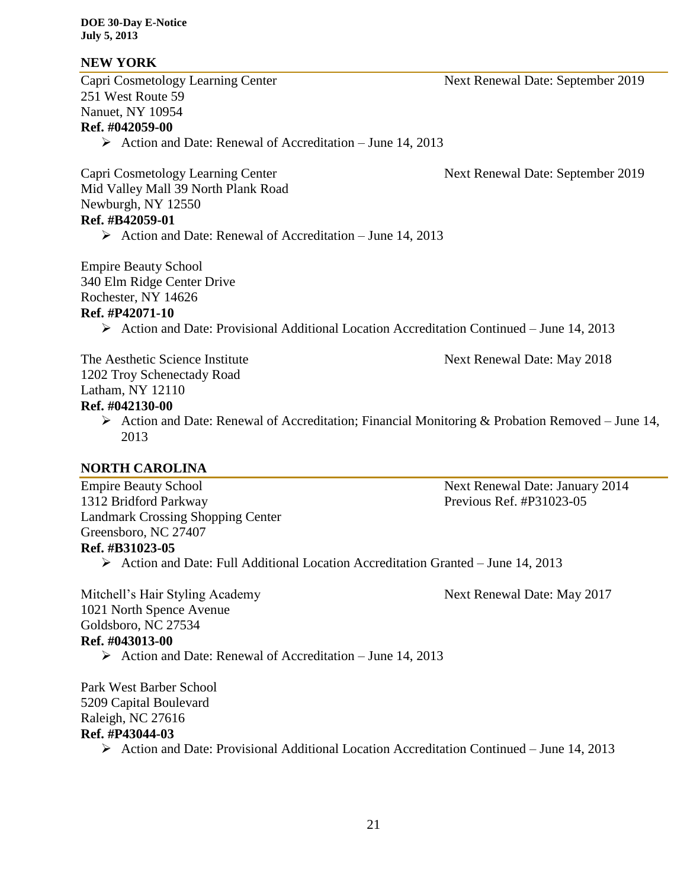# **NEW YORK**

Capri Cosmetology Learning Center Next Renewal Date: September 2019 251 West Route 59 Nanuet, NY 10954 **Ref. #042059-00**

 $\triangleright$  Action and Date: Renewal of Accreditation – June 14, 2013

Capri Cosmetology Learning Center Next Renewal Date: September 2019

Mid Valley Mall 39 North Plank Road Newburgh, NY 12550 **Ref. #B42059-01**

 $\triangleright$  Action and Date: Renewal of Accreditation – June 14, 2013

Empire Beauty School 340 Elm Ridge Center Drive

Rochester, NY 14626

# **Ref. #P42071-10**

Action and Date: Provisional Additional Location Accreditation Continued – June 14, 2013

The Aesthetic Science Institute Next Renewal Date: May 2018 1202 Troy Schenectady Road

# Latham, NY 12110

# **Ref. #042130-00**

Action and Date: Renewal of Accreditation; Financial Monitoring & Probation Removed – June 14, 2013

# **NORTH CAROLINA**

Empire Beauty School Next Renewal Date: January 2014 1312 Bridford Parkway Previous Ref. #P31023-05 Landmark Crossing Shopping Center Greensboro, NC 27407 **Ref. #B31023-05**

 $\triangleright$  Action and Date: Full Additional Location Accreditation Granted – June 14, 2013

Mitchell's Hair Styling Academy Next Renewal Date: May 2017 1021 North Spence Avenue Goldsboro, NC 27534 **Ref. #043013-00**

 $\triangleright$  Action and Date: Renewal of Accreditation – June 14, 2013

Park West Barber School 5209 Capital Boulevard Raleigh, NC 27616 **Ref. #P43044-03**

 $\triangleright$  Action and Date: Provisional Additional Location Accreditation Continued – June 14, 2013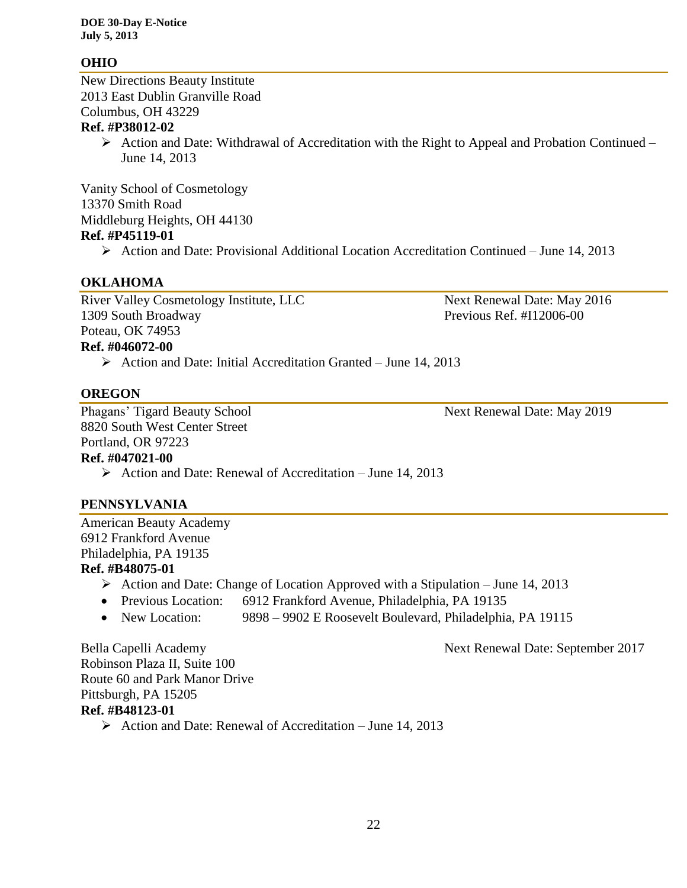# **OHIO**

New Directions Beauty Institute 2013 East Dublin Granville Road Columbus, OH 43229

# **Ref. #P38012-02**

 $\triangleright$  Action and Date: Withdrawal of Accreditation with the Right to Appeal and Probation Continued – June 14, 2013

Vanity School of Cosmetology 13370 Smith Road Middleburg Heights, OH 44130 **Ref. #P45119-01**

 $\triangleright$  Action and Date: Provisional Additional Location Accreditation Continued – June 14, 2013

# **OKLAHOMA**

River Valley Cosmetology Institute, LLC Next Renewal Date: May 2016 1309 South Broadway Previous Ref. #I12006-00 Poteau, OK 74953 **Ref. #046072-00**

 $\triangleright$  Action and Date: Initial Accreditation Granted – June 14, 2013

# **OREGON**

Phagans' Tigard Beauty School Next Renewal Date: May 2019 8820 South West Center Street Portland, OR 97223 **Ref. #047021-00**

 $\triangleright$  Action and Date: Renewal of Accreditation – June 14, 2013

# **PENNSYLVANIA**

American Beauty Academy 6912 Frankford Avenue Philadelphia, PA 19135 **Ref. #B48075-01**

- - $\triangleright$  Action and Date: Change of Location Approved with a Stipulation June 14, 2013
	- Previous Location: 6912 Frankford Avenue, Philadelphia, PA 19135
	- New Location: 9898 9902 E Roosevelt Boulevard, Philadelphia, PA 19115

Bella Capelli Academy Next Renewal Date: September 2017

Robinson Plaza II, Suite 100 Route 60 and Park Manor Drive Pittsburgh, PA 15205 **Ref. #B48123-01**

 $\triangleright$  Action and Date: Renewal of Accreditation – June 14, 2013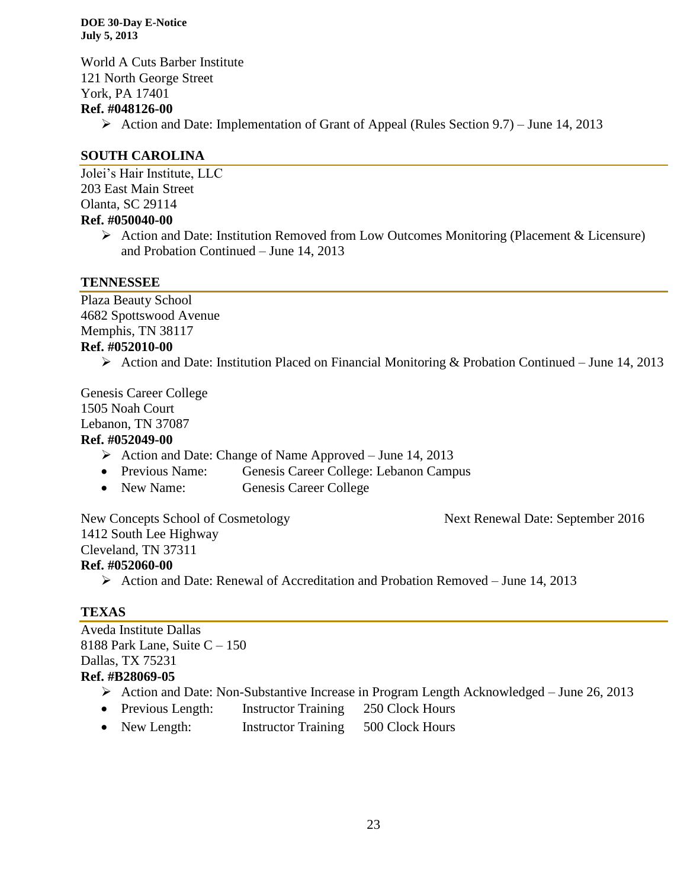World A Cuts Barber Institute 121 North George Street York, PA 17401 **Ref. #048126-00**  $\triangleright$  Action and Date: Implementation of Grant of Appeal (Rules Section 9.7) – June 14, 2013

# **SOUTH CAROLINA**

Jolei's Hair Institute, LLC 203 East Main Street Olanta, SC 29114 **Ref. #050040-00**

 Action and Date: Institution Removed from Low Outcomes Monitoring (Placement & Licensure) and Probation Continued – June 14, 2013

# **TENNESSEE**

Plaza Beauty School 4682 Spottswood Avenue Memphis, TN 38117 **Ref. #052010-00**

 $\triangleright$  Action and Date: Institution Placed on Financial Monitoring & Probation Continued – June 14, 2013

Genesis Career College 1505 Noah Court Lebanon, TN 37087 **Ref. #052049-00**

- $\triangleright$  Action and Date: Change of Name Approved June 14, 2013
- Previous Name: Genesis Career College: Lebanon Campus
- New Name: Genesis Career College

New Concepts School of Cosmetology Next Renewal Date: September 2016 1412 South Lee Highway Cleveland, TN 37311 **Ref. #052060-00**

 $\triangleright$  Action and Date: Renewal of Accreditation and Probation Removed – June 14, 2013

# **TEXAS**

Aveda Institute Dallas 8188 Park Lane, Suite  $C - 150$ Dallas, TX 75231 **Ref. #B28069-05**

- Action and Date: Non-Substantive Increase in Program Length Acknowledged June 26, 2013
- Previous Length: Instructor Training 250 Clock Hours
- New Length: Instructor Training 500 Clock Hours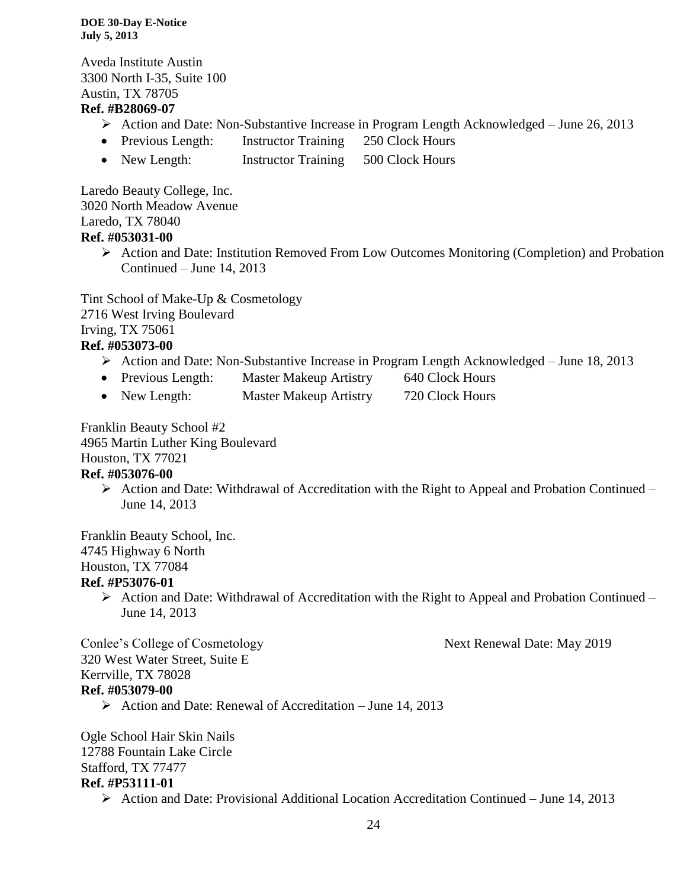Aveda Institute Austin 3300 North I-35, Suite 100 Austin, TX 78705 **Ref. #B28069-07**

- $\triangleright$  Action and Date: Non-Substantive Increase in Program Length Acknowledged June 26, 2013
- Previous Length: Instructor Training 250 Clock Hours
- New Length: Instructor Training 500 Clock Hours

Laredo Beauty College, Inc. 3020 North Meadow Avenue Laredo, TX 78040 **Ref. #053031-00**

> Action and Date: Institution Removed From Low Outcomes Monitoring (Completion) and Probation Continued – June 14, 2013

Tint School of Make-Up & Cosmetology 2716 West Irving Boulevard Irving, TX 75061 **Ref. #053073-00**

- Action and Date: Non-Substantive Increase in Program Length Acknowledged June 18, 2013
- Previous Length: Master Makeup Artistry 640 Clock Hours
- New Length: Master Makeup Artistry 720 Clock Hours

Franklin Beauty School #2 4965 Martin Luther King Boulevard Houston, TX 77021

# **Ref. #053076-00**

 $\triangleright$  Action and Date: Withdrawal of Accreditation with the Right to Appeal and Probation Continued – June 14, 2013

Franklin Beauty School, Inc. 4745 Highway 6 North Houston, TX 77084 **Ref. #P53076-01**

> $\triangleright$  Action and Date: Withdrawal of Accreditation with the Right to Appeal and Probation Continued – June 14, 2013

Conlee's College of Cosmetology Next Renewal Date: May 2019

320 West Water Street, Suite E Kerrville, TX 78028 **Ref. #053079-00**

 $\triangleright$  Action and Date: Renewal of Accreditation – June 14, 2013

Ogle School Hair Skin Nails 12788 Fountain Lake Circle Stafford, TX 77477 **Ref. #P53111-01**

 $\triangleright$  Action and Date: Provisional Additional Location Accreditation Continued – June 14, 2013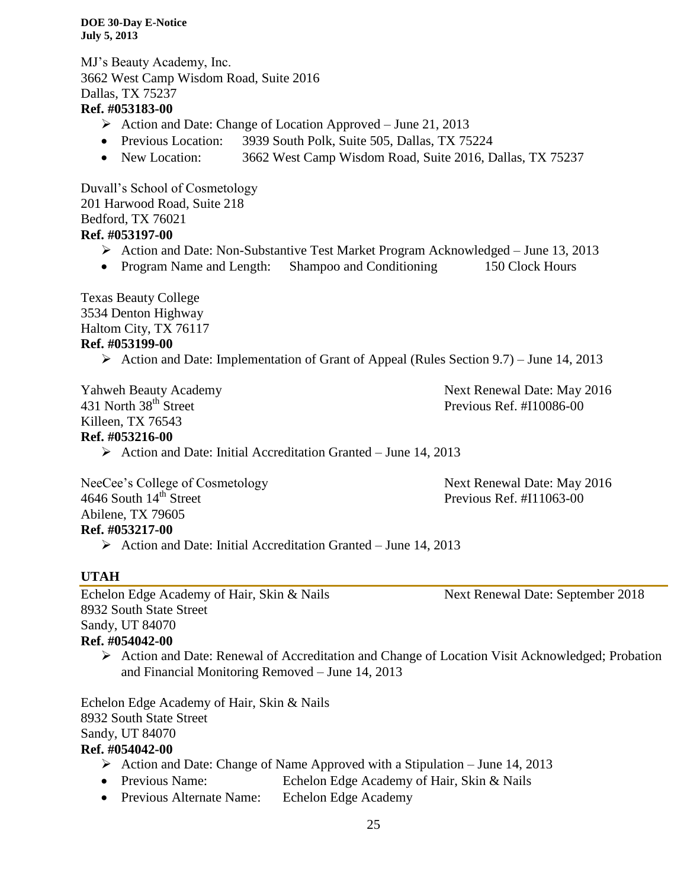MJ's Beauty Academy, Inc. 3662 West Camp Wisdom Road, Suite 2016 Dallas, TX 75237

# **Ref. #053183-00**

- $\triangleright$  Action and Date: Change of Location Approved June 21, 2013
- Previous Location: 3939 South Polk, Suite 505, Dallas, TX 75224
- New Location: 3662 West Camp Wisdom Road, Suite 2016, Dallas, TX 75237

Duvall's School of Cosmetology 201 Harwood Road, Suite 218 Bedford, TX 76021 **Ref. #053197-00**

- Action and Date: Non-Substantive Test Market Program Acknowledged June 13, 2013
- Program Name and Length: Shampoo and Conditioning 150 Clock Hours

Texas Beauty College 3534 Denton Highway Haltom City, TX 76117 **Ref. #053199-00**

 $\triangleright$  Action and Date: Implementation of Grant of Appeal (Rules Section 9.7) – June 14, 2013

Killeen, TX 76543

Yahweh Beauty Academy Next Renewal Date: May 2016 431 North 38<sup>th</sup> Street Previous Ref. #I10086-00

# **Ref. #053216-00**

 $\triangleright$  Action and Date: Initial Accreditation Granted – June 14, 2013

NeeCee's College of Cosmetology Next Renewal Date: May 2016 4646 South 14<sup>th</sup> Street Previous Ref. #I11063-00 Abilene, TX 79605 **Ref. #053217-00**

 $\triangleright$  Action and Date: Initial Accreditation Granted – June 14, 2013

# **UTAH**

Echelon Edge Academy of Hair, Skin & Nails Next Renewal Date: September 2018 8932 South State Street Sandy, UT 84070 **Ref. #054042-00**

 $\triangleright$  Action and Date: Renewal of Accreditation and Change of Location Visit Acknowledged; Probation

and Financial Monitoring Removed – June 14, 2013

Echelon Edge Academy of Hair, Skin & Nails 8932 South State Street Sandy, UT 84070 **Ref. #054042-00**

- $\triangleright$  Action and Date: Change of Name Approved with a Stipulation June 14, 2013
- Previous Name: Echelon Edge Academy of Hair, Skin & Nails
- Previous Alternate Name: Echelon Edge Academy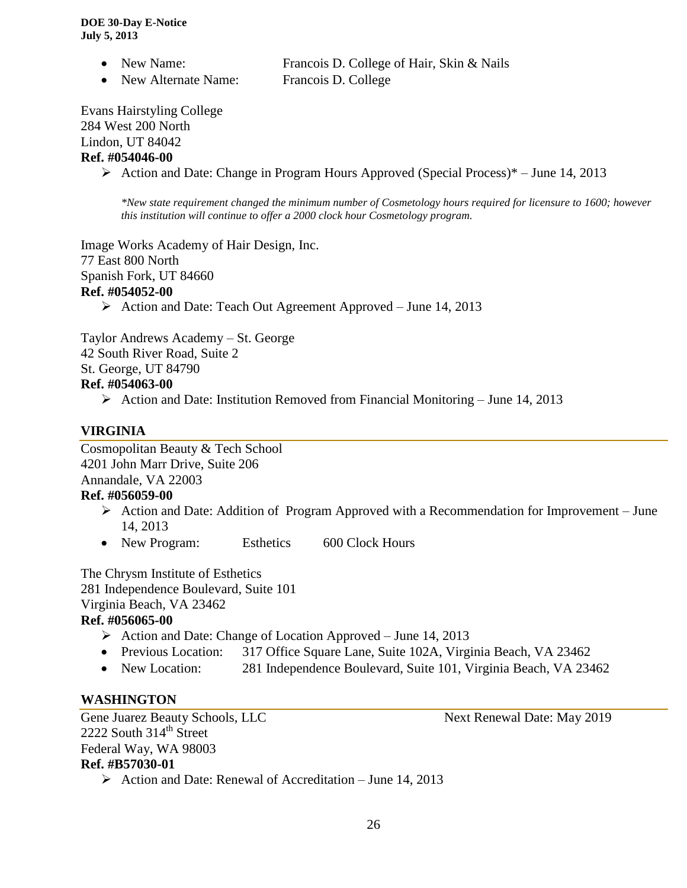- New Name: Francois D. College of Hair, Skin & Nails
- New Alternate Name: Francois D. College

Evans Hairstyling College 284 West 200 North Lindon, UT 84042 **Ref. #054046-00**

Action and Date: Change in Program Hours Approved (Special Process)\* – June 14, 2013

*\*New state requirement changed the minimum number of Cosmetology hours required for licensure to 1600; however this institution will continue to offer a 2000 clock hour Cosmetology program.* 

Image Works Academy of Hair Design, Inc. 77 East 800 North Spanish Fork, UT 84660 **Ref. #054052-00**  $\triangleright$  Action and Date: Teach Out Agreement Approved – June 14, 2013

Taylor Andrews Academy – St. George 42 South River Road, Suite 2

St. George, UT 84790

# **Ref. #054063-00**

Action and Date: Institution Removed from Financial Monitoring – June 14, 2013

# **VIRGINIA**

Cosmopolitan Beauty & Tech School 4201 John Marr Drive, Suite 206 Annandale, VA 22003

# **Ref. #056059-00**

- $\triangleright$  Action and Date: Addition of Program Approved with a Recommendation for Improvement June 14, 2013
- New Program: Esthetics 600 Clock Hours

The Chrysm Institute of Esthetics 281 Independence Boulevard, Suite 101 Virginia Beach, VA 23462 **Ref. #056065-00**

- Action and Date: Change of Location Approved June 14, 2013
- Previous Location: 317 Office Square Lane, Suite 102A, Virginia Beach, VA 23462
- New Location: 281 Independence Boulevard, Suite 101, Virginia Beach, VA 23462

# **WASHINGTON**

Gene Juarez Beauty Schools, LLC Next Renewal Date: May 2019 2222 South  $314<sup>th</sup>$  Street Federal Way, WA 98003 **Ref. #B57030-01**

 $\triangleright$  Action and Date: Renewal of Accreditation – June 14, 2013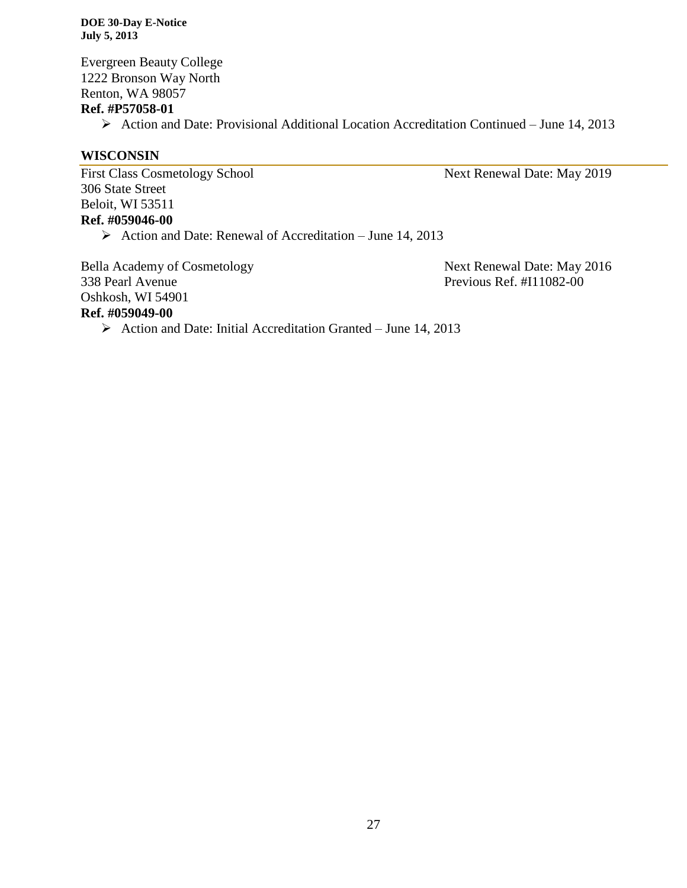Evergreen Beauty College 1222 Bronson Way North Renton, WA 98057

# **Ref. #P57058-01**

Action and Date: Provisional Additional Location Accreditation Continued – June 14, 2013

# **WISCONSIN**

First Class Cosmetology School Next Renewal Date: May 2019 306 State Street Beloit, WI 53511 **Ref. #059046-00**

Action and Date: Renewal of Accreditation – June 14, 2013

Bella Academy of Cosmetology Next Renewal Date: May 2016 338 Pearl Avenue Previous Ref. #I11082-00 Oshkosh, WI 54901 **Ref. #059049-00**

 $\triangleright$  Action and Date: Initial Accreditation Granted – June 14, 2013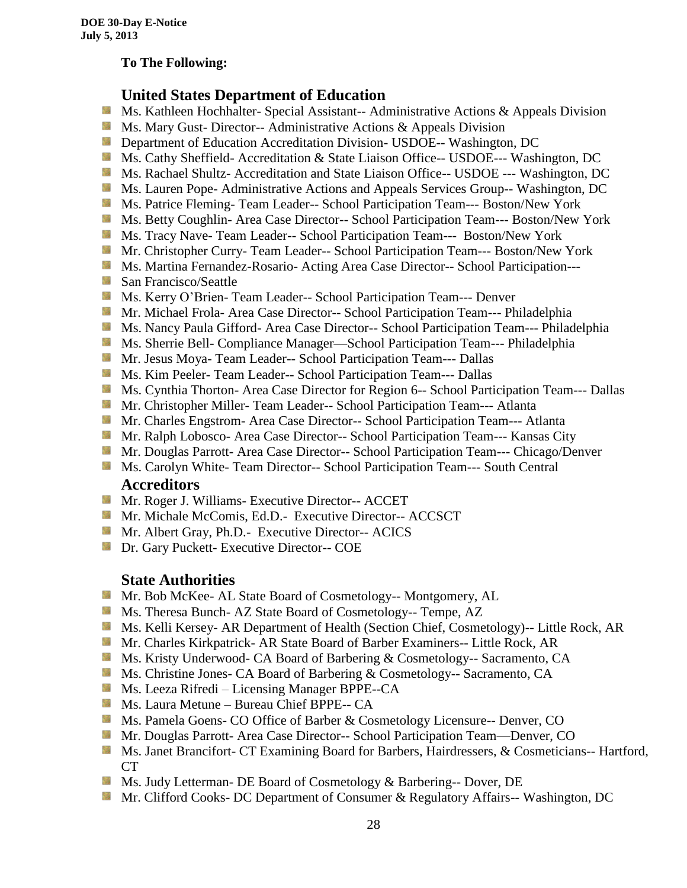# **To The Following:**

# **United States Department of Education**

- Sila Ms. Kathleen Hochhalter- Special Assistant-- Administrative Actions & Appeals Division
- **Ms.** Mary Gust- Director-- Administrative Actions  $\&$  Appeals Division
- **Department of Education Accreditation Division- USDOE-- Washington, DC**
- Ms. Cathy Sheffield- Accreditation & State Liaison Office-- USDOE--- Washington, DC
- **MS. Rachael Shultz- Accreditation and State Liaison Office-- USDOE --- Washington, DC**
- Ms. Lauren Pope- Administrative Actions and Appeals Services Group-- Washington, DC
- Ms. Patrice Fleming-Team Leader-- School Participation Team--- Boston/New York
- **MS. Betty Coughlin- Area Case Director-- School Participation Team--- Boston/New York**
- Ms. Tracy Nave-Team Leader-- School Participation Team--- Boston/New York
- **Mr.** Christopher Curry- Team Leader-- School Participation Team--- Boston/New York
- Ms. Martina Fernandez-Rosario- Acting Area Case Director-- School Participation---
- **San Francisco/Seattle**
- **MS. Kerry O'Brien- Team Leader-- School Participation Team--- Denver**
- **Mr. Michael Frola- Area Case Director-- School Participation Team--- Philadelphia**
- Ms. Nancy Paula Gifford- Area Case Director-- School Participation Team--- Philadelphia
- Ms. Sherrie Bell- Compliance Manager—School Participation Team--- Philadelphia
- **Mr. Jesus Moya- Team Leader-- School Participation Team--- Dallas**
- **MS. Kim Peeler- Team Leader-- School Participation Team--- Dallas**
- **Ms. Cynthia Thorton- Area Case Director for Region 6-- School Participation Team--- Dallas**
- **Mr. Christopher Miller-Team Leader-- School Participation Team--- Atlanta**
- **Mr.** Charles Engstrom- Area Case Director-- School Participation Team--- Atlanta
- Mr. Ralph Lobosco- Area Case Director-- School Participation Team--- Kansas City
- **Mr. Douglas Parrott- Area Case Director-- School Participation Team--- Chicago/Denver**
- **MS. Carolyn White-Team Director-- School Participation Team--- South Central Accreditors**

- **Mr. Roger J. Williams- Executive Director-- ACCET**
- **Mr. Michale McComis, Ed.D.- Executive Director-- ACCSCT**
- Mr. Albert Gray, Ph.D.- Executive Director-- ACICS
- **Dr.** Gary Puckett- Executive Director-- COE

# **State Authorities**

- Mr. Bob McKee- AL State Board of Cosmetology-- Montgomery, AL
- Ms. Theresa Bunch- AZ State Board of Cosmetology-- Tempe, AZ
- Ms. Kelli Kersey- AR Department of Health (Section Chief, Cosmetology)-- Little Rock, AR
- Mr. Charles Kirkpatrick- AR State Board of Barber Examiners-- Little Rock, AR
- Ms. Kristy Underwood- CA Board of Barbering & Cosmetology-- Sacramento, CA
- Ms. Christine Jones- CA Board of Barbering & Cosmetology-- Sacramento, CA
- Ms. Leeza Rifredi Licensing Manager BPPE--CA
- **Ms. Laura Metune Bureau Chief BPPE-- CA**
- Ms. Pamela Goens- CO Office of Barber & Cosmetology Licensure-- Denver, CO
- **Mr. Douglas Parrott- Area Case Director-- School Participation Team—Denver, CO**
- Ms. Janet Brancifort- CT Examining Board for Barbers, Hairdressers, & Cosmeticians-- Hartford, CT
- Ms. Judy Letterman- DE Board of Cosmetology & Barbering-- Dover, DE
- **Mr. Clifford Cooks- DC Department of Consumer & Regulatory Affairs-- Washington, DC**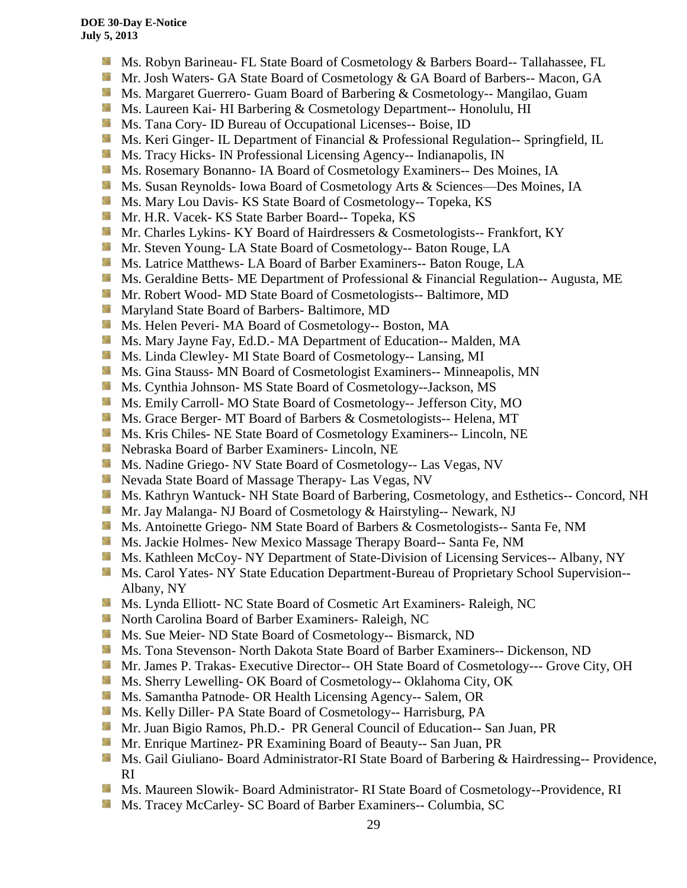- **Ms. Robyn Barineau- FL State Board of Cosmetology & Barbers Board-- Tallahassee, FL**
- Mr. Josh Waters- GA State Board of Cosmetology & GA Board of Barbers-- Macon, GA
- **MS. Margaret Guerrero- Guam Board of Barbering & Cosmetology-- Mangilao, Guam**
- **Ms. Laureen Kai- HI Barbering & Cosmetology Department-- Honolulu, HI**
- **Ms.** Tana Cory- ID Bureau of Occupational Licenses-- Boise, ID
- **Ms. Keri Ginger- IL Department of Financial & Professional Regulation-- Springfield, IL**
- **Ms.** Tracy Hicks- IN Professional Licensing Agency-- Indianapolis, IN
- Ms. Rosemary Bonanno- IA Board of Cosmetology Examiners-- Des Moines, IA
- Ms. Susan Reynolds- Iowa Board of Cosmetology Arts & Sciences—Des Moines, IA
- **Ms. Mary Lou Davis- KS State Board of Cosmetology-- Topeka, KS**
- **Mr. H.R. Vacek- KS State Barber Board-- Topeka, KS**
- **Mr. Charles Lykins- KY Board of Hairdressers & Cosmetologists-- Frankfort, KY**
- Mr. Steven Young- LA State Board of Cosmetology-- Baton Rouge, LA
- **Ms. Latrice Matthews- LA Board of Barber Examiners-- Baton Rouge, LA**
- **Ms.** Geraldine Betts- ME Department of Professional & Financial Regulation-- Augusta, ME
- **Mr. Robert Wood- MD State Board of Cosmetologists-- Baltimore, MD**
- **Maryland State Board of Barbers- Baltimore, MD**
- Ms. Helen Peveri- MA Board of Cosmetology-- Boston, MA
- Ms. Mary Jayne Fay, Ed.D.- MA Department of Education-- Malden, MA
- Ms. Linda Clewley- MI State Board of Cosmetology-- Lansing, MI
- **Ms.** Gina Stauss- MN Board of Cosmetologist Examiners-- Minneapolis, MN
- Ms. Cynthia Johnson- MS State Board of Cosmetology--Jackson, MS
- Ms. Emily Carroll- MO State Board of Cosmetology-- Jefferson City, MO
- **Ms.** Grace Berger- MT Board of Barbers & Cosmetologists-- Helena, MT
- **MS.** Kris Chiles- NE State Board of Cosmetology Examiners-- Lincoln, NE
- Nebraska Board of Barber Examiners- Lincoln, NE
- Ms. Nadine Griego- NV State Board of Cosmetology-- Las Vegas, NV
- **Nevada State Board of Massage Therapy- Las Vegas, NV**
- **Ms. Kathryn Wantuck- NH State Board of Barbering, Cosmetology, and Esthetics-- Concord, NH**
- Mr. Jay Malanga- NJ Board of Cosmetology & Hairstyling-- Newark, NJ
- **MS.** Antoinette Griego- NM State Board of Barbers & Cosmetologists-- Santa Fe, NM
- Ms. Jackie Holmes- New Mexico Massage Therapy Board-- Santa Fe, NM
- Ms. Kathleen McCoy- NY Department of State-Division of Licensing Services-- Albany, NY
- Ms. Carol Yates- NY State Education Department-Bureau of Proprietary School Supervision--Albany, NY
- Ms. Lynda Elliott- NC State Board of Cosmetic Art Examiners- Raleigh, NC
- **North Carolina Board of Barber Examiners- Raleigh, NC**
- **Ms. Sue Meier- ND State Board of Cosmetology-- Bismarck, ND**
- Ms. Tona Stevenson- North Dakota State Board of Barber Examiners-- Dickenson, ND
- Mr. James P. Trakas- Executive Director-- OH State Board of Cosmetology--- Grove City, OH
- **Ms. Sherry Lewelling- OK Board of Cosmetology-- Oklahoma City, OK**
- Ms. Samantha Patnode- OR Health Licensing Agency-- Salem, OR
- Ms. Kelly Diller- PA State Board of Cosmetology-- Harrisburg, PA
- Mr. Juan Bigio Ramos, Ph.D.- PR General Council of Education-- San Juan, PR
- Mr. Enrique Martinez- PR Examining Board of Beauty-- San Juan, PR
- **Ms. Gail Giuliano- Board Administrator-RI State Board of Barbering & Hairdressing-- Providence,** RI
- Ms. Maureen Slowik- Board Administrator- RI State Board of Cosmetology--Providence, RI
- Ms. Tracey McCarley- SC Board of Barber Examiners-- Columbia, SC锑